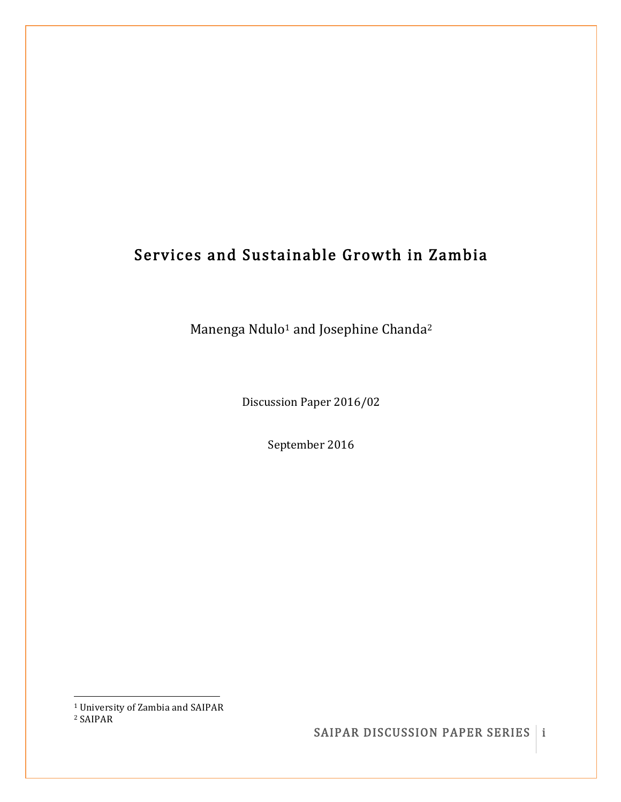# Services and Sustainable Growth in Zambia

Manenga Ndulo<sup>1</sup> and Josephine Chanda<sup>2</sup>

Discussion Paper 2016/02

September 2016

 <sup>1</sup> University of Zambia and SAIPAR

<sup>2</sup> SAIPAR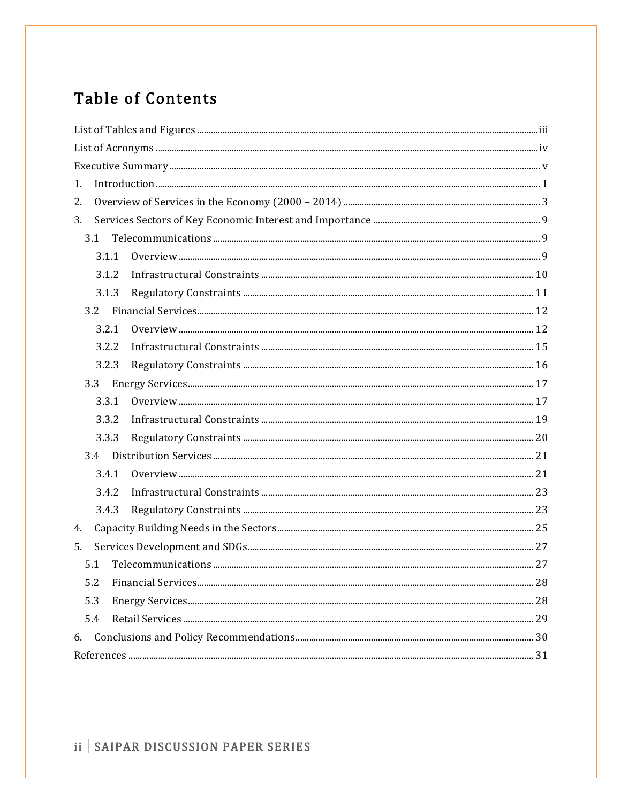# Table of Contents

| 1.  |       |  |  |  |  |
|-----|-------|--|--|--|--|
| 2.  |       |  |  |  |  |
| 3.  |       |  |  |  |  |
|     | 3.1   |  |  |  |  |
|     | 3.1.1 |  |  |  |  |
|     | 3.1.2 |  |  |  |  |
|     | 3.1.3 |  |  |  |  |
|     | 3.2   |  |  |  |  |
|     | 3.2.1 |  |  |  |  |
|     | 3.2.2 |  |  |  |  |
|     | 3.2.3 |  |  |  |  |
|     | 3.3   |  |  |  |  |
|     | 3.3.1 |  |  |  |  |
|     | 3.3.2 |  |  |  |  |
|     | 3.3.3 |  |  |  |  |
|     |       |  |  |  |  |
|     | 3.4.1 |  |  |  |  |
|     | 3.4.2 |  |  |  |  |
|     | 3.4.3 |  |  |  |  |
| 4.  |       |  |  |  |  |
| 5.  |       |  |  |  |  |
| 5.1 |       |  |  |  |  |
| 5.2 |       |  |  |  |  |
| 5.3 |       |  |  |  |  |
| 5.4 |       |  |  |  |  |
| 6.  |       |  |  |  |  |
|     |       |  |  |  |  |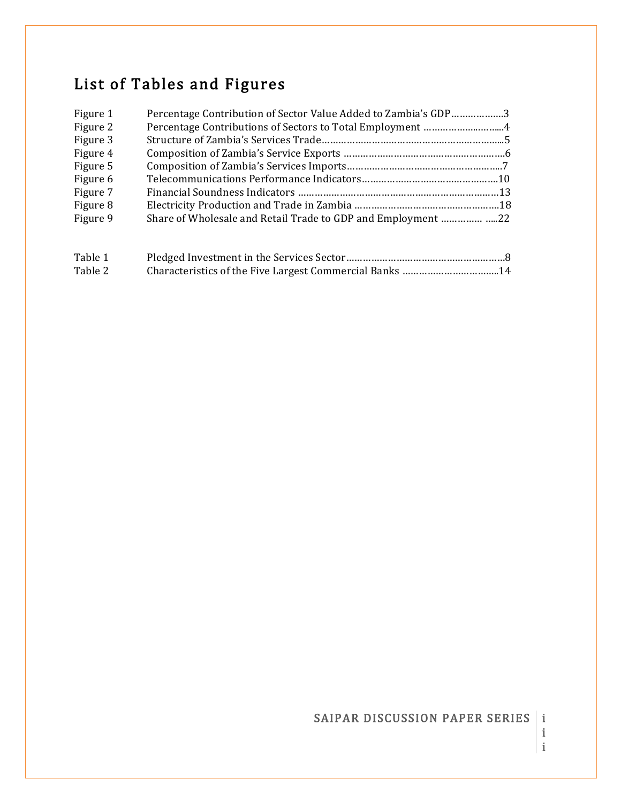# List of Tables and Figures

| Figure 1 | Percentage Contribution of Sector Value Added to Zambia's GDP3 |  |
|----------|----------------------------------------------------------------|--|
| Figure 2 | Percentage Contributions of Sectors to Total Employment 4      |  |
| Figure 3 |                                                                |  |
| Figure 4 |                                                                |  |
| Figure 5 |                                                                |  |
| Figure 6 |                                                                |  |
| Figure 7 |                                                                |  |
| Figure 8 |                                                                |  |
| Figure 9 | Share of Wholesale and Retail Trade to GDP and Employment  22  |  |
| Table 1  |                                                                |  |

Table 2 Characteristics of the Five Largest Commercial Banks ……………………………..14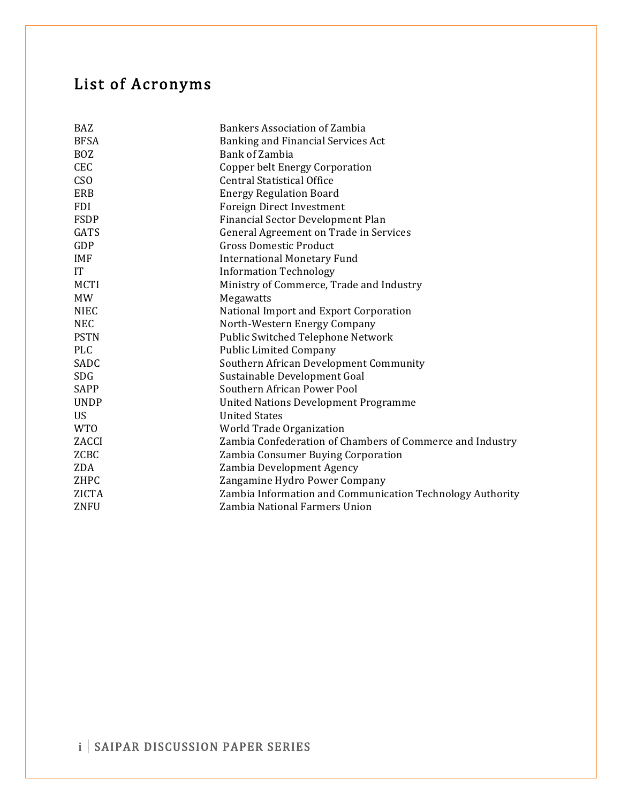# List of Acronyms

| BAZ          | <b>Bankers Association of Zambia</b>                      |
|--------------|-----------------------------------------------------------|
| <b>BFSA</b>  | Banking and Financial Services Act                        |
| <b>BOZ</b>   | Bank of Zambia                                            |
| <b>CEC</b>   | Copper belt Energy Corporation                            |
| <b>CSO</b>   | <b>Central Statistical Office</b>                         |
| ERB          | <b>Energy Regulation Board</b>                            |
| <b>FDI</b>   | Foreign Direct Investment                                 |
| <b>FSDP</b>  | Financial Sector Development Plan                         |
| GATS         | General Agreement on Trade in Services                    |
| GDP          | <b>Gross Domestic Product</b>                             |
| <b>IMF</b>   | <b>International Monetary Fund</b>                        |
| IT           | <b>Information Technology</b>                             |
| <b>MCTI</b>  | Ministry of Commerce, Trade and Industry                  |
| <b>MW</b>    | Megawatts                                                 |
| <b>NIEC</b>  | National Import and Export Corporation                    |
| <b>NEC</b>   | North-Western Energy Company                              |
| <b>PSTN</b>  | Public Switched Telephone Network                         |
| <b>PLC</b>   | <b>Public Limited Company</b>                             |
| SADC         | Southern African Development Community                    |
| <b>SDG</b>   | Sustainable Development Goal                              |
| SAPP         | Southern African Power Pool                               |
| <b>UNDP</b>  | United Nations Development Programme                      |
| <b>US</b>    | <b>United States</b>                                      |
| <b>WTO</b>   | World Trade Organization                                  |
| ZACCI        | Zambia Confederation of Chambers of Commerce and Industry |
| ZCBC         | Zambia Consumer Buying Corporation                        |
| ZDA          | Zambia Development Agency                                 |
| ZHPC         | Zangamine Hydro Power Company                             |
| <b>ZICTA</b> | Zambia Information and Communication Technology Authority |
| ZNFU         | Zambia National Farmers Union                             |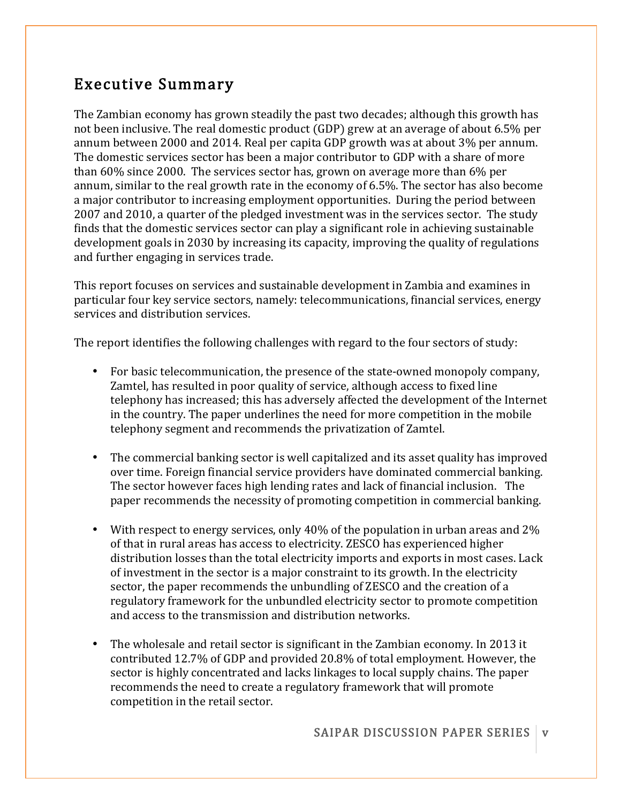### Executive Summary

The Zambian economy has grown steadily the past two decades; although this growth has not been inclusive. The real domestic product (GDP) grew at an average of about 6.5% per annum between 2000 and 2014. Real per capita GDP growth was at about 3% per annum. The domestic services sector has been a major contributor to GDP with a share of more than 60% since 2000. The services sector has, grown on average more than 6% per annum, similar to the real growth rate in the economy of 6.5%. The sector has also become a major contributor to increasing employment opportunities. During the period between 2007 and 2010, a quarter of the pledged investment was in the services sector. The study finds that the domestic services sector can play a significant role in achieving sustainable development goals in 2030 by increasing its capacity, improving the quality of regulations and further engaging in services trade.

This report focuses on services and sustainable development in Zambia and examines in particular four key service sectors, namely: telecommunications, financial services, energy services and distribution services.

The report identifies the following challenges with regard to the four sectors of study:

- For basic telecommunication, the presence of the state-owned monopoly company, Zamtel, has resulted in poor quality of service, although access to fixed line telephony has increased; this has adversely affected the development of the Internet in the country. The paper underlines the need for more competition in the mobile telephony segment and recommends the privatization of Zamtel.
- The commercial banking sector is well capitalized and its asset quality has improved over time. Foreign financial service providers have dominated commercial banking. The sector however faces high lending rates and lack of financial inclusion. The paper recommends the necessity of promoting competition in commercial banking.
- With respect to energy services, only 40% of the population in urban areas and 2% of that in rural areas has access to electricity. ZESCO has experienced higher distribution losses than the total electricity imports and exports in most cases. Lack of investment in the sector is a major constraint to its growth. In the electricity sector, the paper recommends the unbundling of ZESCO and the creation of a regulatory framework for the unbundled electricity sector to promote competition and access to the transmission and distribution networks.
- The wholesale and retail sector is significant in the Zambian economy. In 2013 it contributed 12.7% of GDP and provided 20.8% of total employment. However, the sector is highly concentrated and lacks linkages to local supply chains. The paper recommends the need to create a regulatory framework that will promote competition in the retail sector.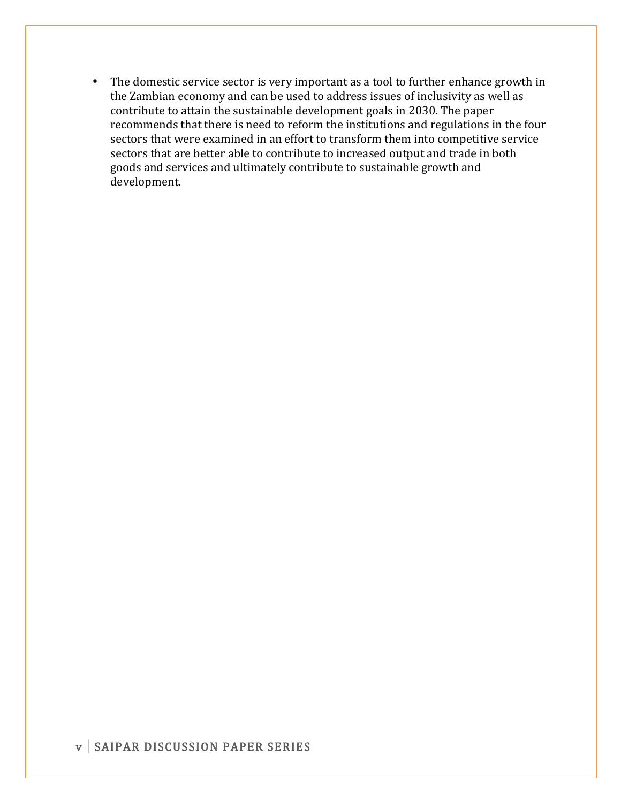• The domestic service sector is very important as a tool to further enhance growth in the Zambian economy and can be used to address issues of inclusivity as well as contribute to attain the sustainable development goals in 2030. The paper recommends that there is need to reform the institutions and regulations in the four sectors that were examined in an effort to transform them into competitive service sectors that are better able to contribute to increased output and trade in both goods and services and ultimately contribute to sustainable growth and development.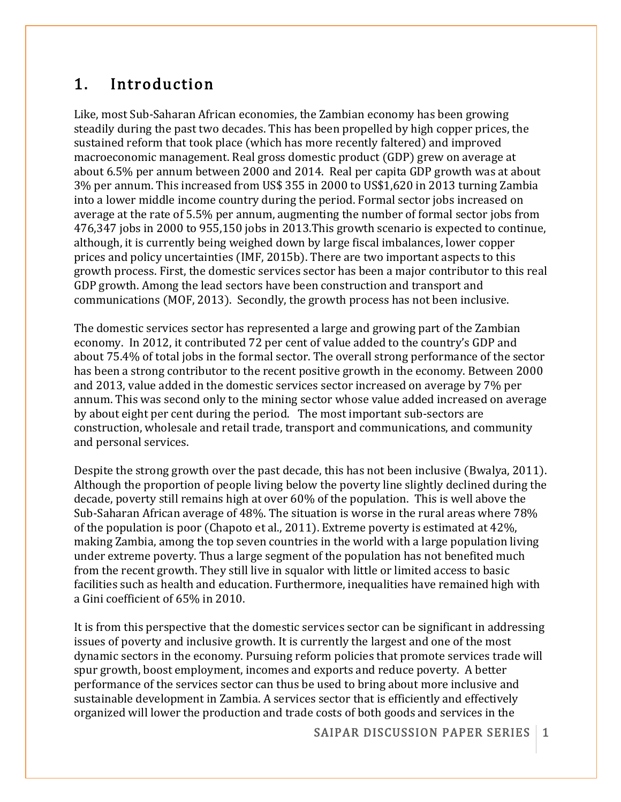### 1. Introduction

Like, most Sub-Saharan African economies, the Zambian economy has been growing steadily during the past two decades. This has been propelled by high copper prices, the sustained reform that took place (which has more recently faltered) and improved macroeconomic management. Real gross domestic product (GDP) grew on average at about 6.5% per annum between 2000 and 2014. Real per capita GDP growth was at about 3% per annum. This increased from US\$ 355 in 2000 to US\$1,620 in 2013 turning Zambia into a lower middle income country during the period. Formal sector jobs increased on average at the rate of 5.5% per annum, augmenting the number of formal sector jobs from 476,347 jobs in 2000 to 955,150 jobs in 2013.This growth scenario is expected to continue, although, it is currently being weighed down by large fiscal imbalances, lower copper prices and policy uncertainties (IMF, 2015b). There are two important aspects to this growth process. First, the domestic services sector has been a major contributor to this real GDP growth. Among the lead sectors have been construction and transport and communications (MOF, 2013). Secondly, the growth process has not been inclusive.

The domestic services sector has represented a large and growing part of the Zambian economy. In 2012, it contributed 72 per cent of value added to the country's GDP and about 75.4% of total jobs in the formal sector. The overall strong performance of the sector has been a strong contributor to the recent positive growth in the economy. Between 2000 and 2013, value added in the domestic services sector increased on average by 7% per annum. This was second only to the mining sector whose value added increased on average by about eight per cent during the period. The most important sub-sectors are construction, wholesale and retail trade, transport and communications, and community and personal services.

Despite the strong growth over the past decade, this has not been inclusive (Bwalya, 2011). Although the proportion of people living below the poverty line slightly declined during the decade, poverty still remains high at over 60% of the population. This is well above the Sub-Saharan African average of 48%. The situation is worse in the rural areas where 78% of the population is poor (Chapoto et al., 2011). Extreme poverty is estimated at 42%, making Zambia, among the top seven countries in the world with a large population living under extreme poverty. Thus a large segment of the population has not benefited much from the recent growth. They still live in squalor with little or limited access to basic facilities such as health and education. Furthermore, inequalities have remained high with a Gini coefficient of 65% in 2010.

It is from this perspective that the domestic services sector can be significant in addressing issues of poverty and inclusive growth. It is currently the largest and one of the most dynamic sectors in the economy. Pursuing reform policies that promote services trade will spur growth, boost employment, incomes and exports and reduce poverty. A better performance of the services sector can thus be used to bring about more inclusive and sustainable development in Zambia. A services sector that is efficiently and effectively organized will lower the production and trade costs of both goods and services in the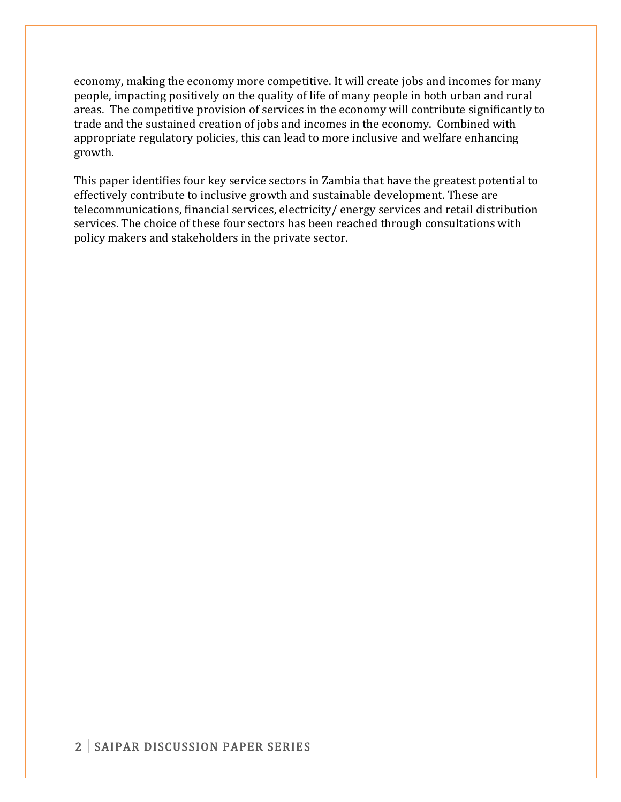economy, making the economy more competitive. It will create jobs and incomes for many people, impacting positively on the quality of life of many people in both urban and rural areas. The competitive provision of services in the economy will contribute significantly to trade and the sustained creation of jobs and incomes in the economy. Combined with appropriate regulatory policies, this can lead to more inclusive and welfare enhancing growth.

This paper identifies four key service sectors in Zambia that have the greatest potential to effectively contribute to inclusive growth and sustainable development. These are telecommunications, financial services, electricity/ energy services and retail distribution services. The choice of these four sectors has been reached through consultations with policy makers and stakeholders in the private sector.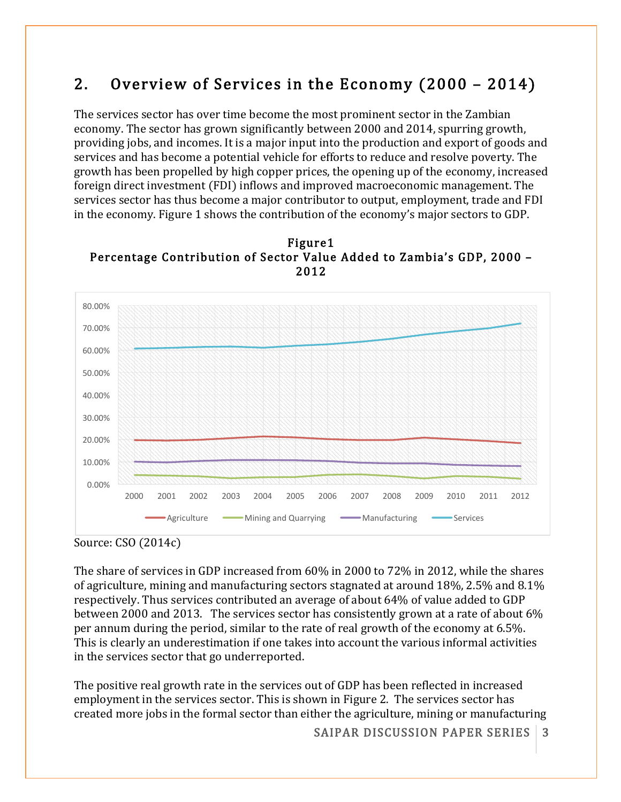# 2. Overview of Services in the Economy (2000 – 2014)

The services sector has over time become the most prominent sector in the Zambian economy. The sector has grown significantly between 2000 and 2014, spurring growth, providing jobs, and incomes. It is a major input into the production and export of goods and services and has become a potential vehicle for efforts to reduce and resolve poverty. The growth has been propelled by high copper prices, the opening up of the economy, increased foreign direct investment (FDI) inflows and improved macroeconomic management. The services sector has thus become a major contributor to output, employment, trade and FDI in the economy. Figure 1 shows the contribution of the economy's major sectors to GDP.

Figure1 Percentage Contribution of Sector Value Added to Zambia's GDP, 2000 – 2012



Source: CSO (2014c)

The share of services in GDP increased from 60% in 2000 to 72% in 2012, while the shares of agriculture, mining and manufacturing sectors stagnated at around 18%, 2.5% and 8.1% respectively. Thus services contributed an average of about 64% of value added to GDP between 2000 and 2013. The services sector has consistently grown at a rate of about 6% per annum during the period, similar to the rate of real growth of the economy at 6.5%. This is clearly an underestimation if one takes into account the various informal activities in the services sector that go underreported.

The positive real growth rate in the services out of GDP has been reflected in increased employment in the services sector. This is shown in Figure 2. The services sector has created more jobs in the formal sector than either the agriculture, mining or manufacturing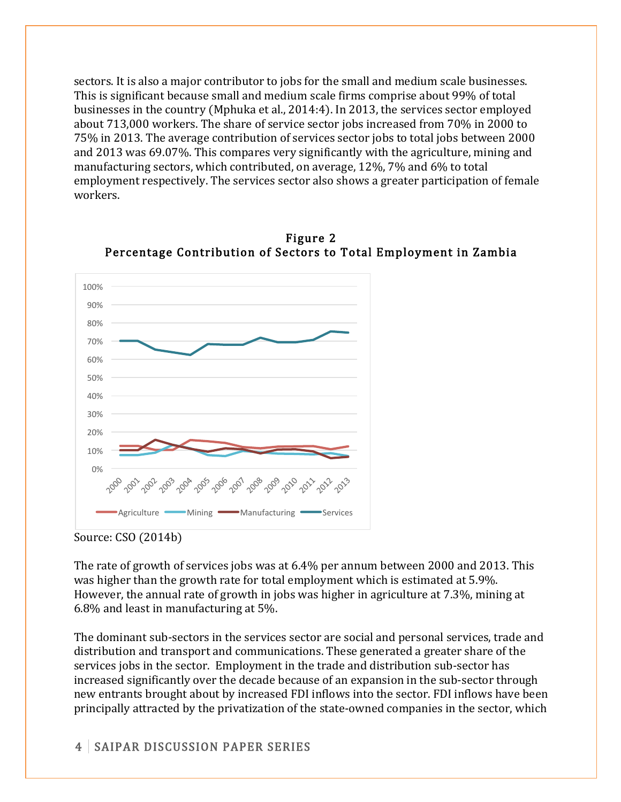sectors. It is also a major contributor to jobs for the small and medium scale businesses. This is significant because small and medium scale firms comprise about 99% of total businesses in the country (Mphuka et al., 2014:4). In 2013, the services sector employed about 713,000 workers. The share of service sector jobs increased from 70% in 2000 to 75% in 2013. The average contribution of services sector jobs to total jobs between 2000 and 2013 was 69.07%. This compares very significantly with the agriculture, mining and manufacturing sectors, which contributed, on average, 12%, 7% and 6% to total employment respectively. The services sector also shows a greater participation of female workers.





Source: CSO (2014b)

The rate of growth of services jobs was at 6.4% per annum between 2000 and 2013. This was higher than the growth rate for total employment which is estimated at 5.9%. However, the annual rate of growth in jobs was higher in agriculture at 7.3%, mining at 6.8% and least in manufacturing at 5%.

The dominant sub-sectors in the services sector are social and personal services, trade and distribution and transport and communications. These generated a greater share of the services jobs in the sector. Employment in the trade and distribution sub-sector has increased significantly over the decade because of an expansion in the sub-sector through new entrants brought about by increased FDI inflows into the sector. FDI inflows have been principally attracted by the privatization of the state-owned companies in the sector, which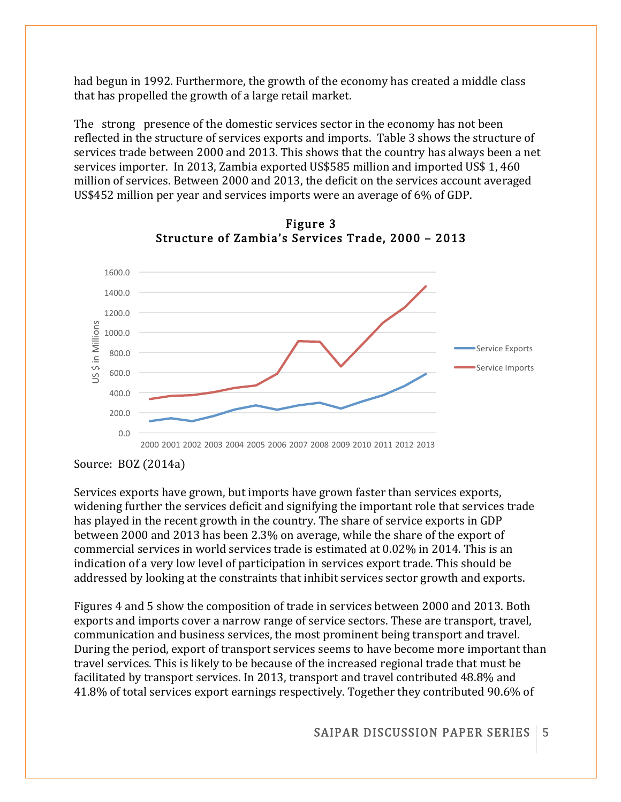had begun in 1992. Furthermore, the growth of the economy has created a middle class that has propelled the growth of a large retail market.

The strong presence of the domestic services sector in the economy has not been reflected in the structure of services exports and imports. Table 3 shows the structure of services trade between 2000 and 2013. This shows that the country has always been a net services importer. In 2013, Zambia exported US\$585 million and imported US\$ 1, 460 million of services. Between 2000 and 2013, the deficit on the services account averaged US\$452 million per year and services imports were an average of 6% of GDP.



Figure 3 Structure of Zambia's Services Trade, 2000 – 2013

Source: BOZ (2014a)

Services exports have grown, but imports have grown faster than services exports, widening further the services deficit and signifying the important role that services trade has played in the recent growth in the country. The share of service exports in GDP between 2000 and 2013 has been 2.3% on average, while the share of the export of commercial services in world services trade is estimated at 0.02% in 2014. This is an indication of a very low level of participation in services export trade. This should be addressed by looking at the constraints that inhibit services sector growth and exports.

Figures 4 and 5 show the composition of trade in services between 2000 and 2013. Both exports and imports cover a narrow range of service sectors. These are transport, travel, communication and business services, the most prominent being transport and travel. During the period, export of transport services seems to have become more important than travel services. This is likely to be because of the increased regional trade that must be facilitated by transport services. In 2013, transport and travel contributed 48.8% and 41.8% of total services export earnings respectively. Together they contributed 90.6% of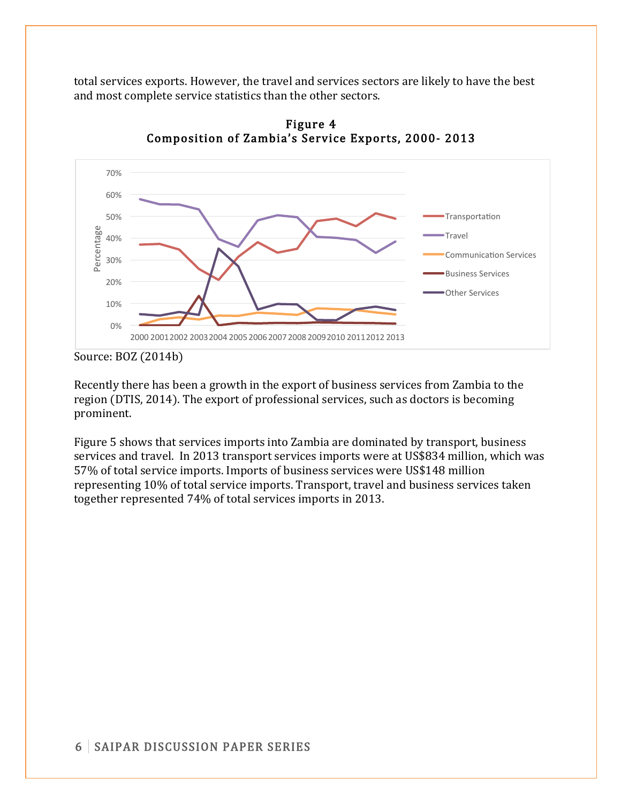total services exports. However, the travel and services sectors are likely to have the best and most complete service statistics than the other sectors.



Figure 4 Composition of Zambia's Service Exports, 2000- 2013

Recently there has been a growth in the export of business services from Zambia to the region (DTIS, 2014). The export of professional services, such as doctors is becoming prominent.

Figure 5 shows that services imports into Zambia are dominated by transport, business services and travel. In 2013 transport services imports were at US\$834 million, which was 57% of total service imports. Imports of business services were US\$148 million representing 10% of total service imports. Transport, travel and business services taken together represented 74% of total services imports in 2013.

Source: BOZ (2014b)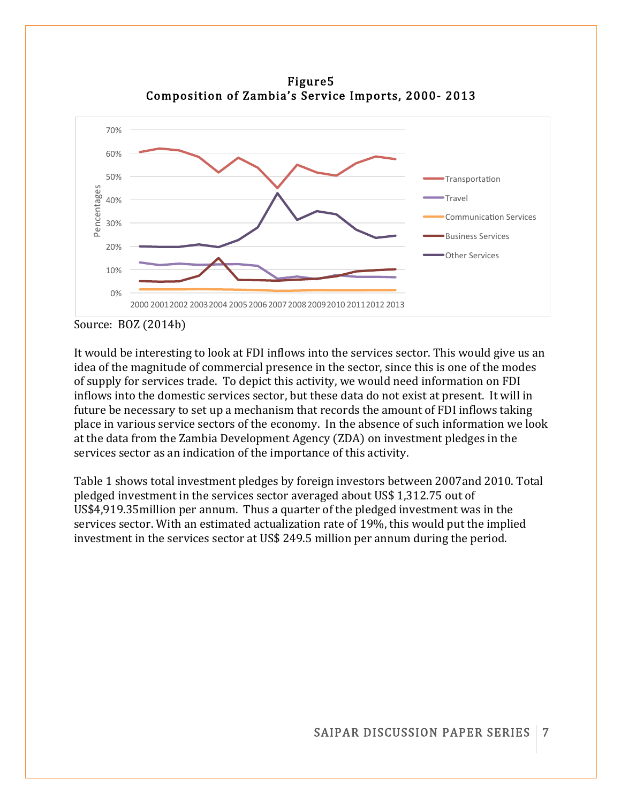

Figure5 Composition of Zambia's Service Imports, 2000- 2013

Source: BOZ (2014b)

It would be interesting to look at FDI inflows into the services sector. This would give us an idea of the magnitude of commercial presence in the sector, since this is one of the modes of supply for services trade. To depict this activity, we would need information on FDI inflows into the domestic services sector, but these data do not exist at present. It will in future be necessary to set up a mechanism that records the amount of FDI inflows taking place in various service sectors of the economy. In the absence of such information we look at the data from the Zambia Development Agency (ZDA) on investment pledges in the services sector as an indication of the importance of this activity.

Table 1 shows total investment pledges by foreign investors between 2007and 2010. Total pledged investment in the services sector averaged about US\$ 1,312.75 out of US\$4,919.35million per annum. Thus a quarter of the pledged investment was in the services sector. With an estimated actualization rate of 19%, this would put the implied investment in the services sector at US\$ 249.5 million per annum during the period.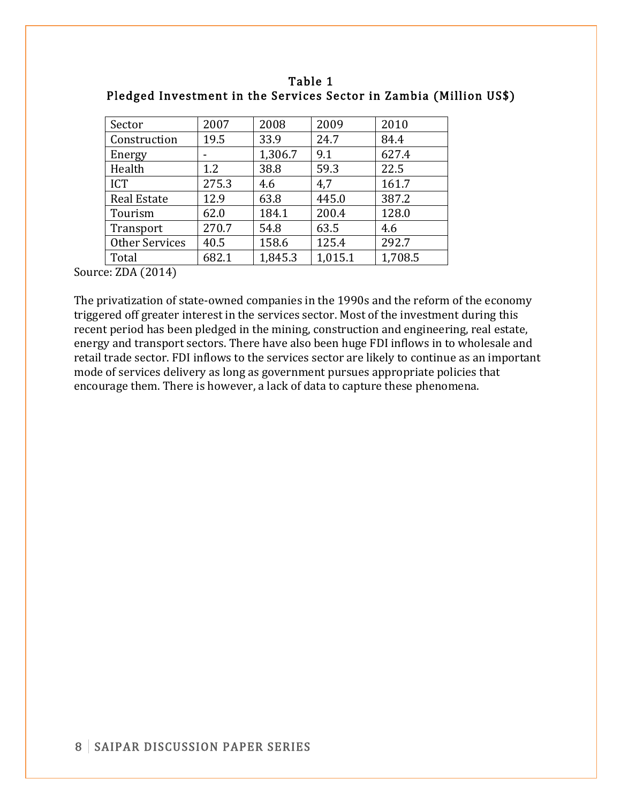| Sector             | 2007  | 2008    | 2009    | 2010    |
|--------------------|-------|---------|---------|---------|
| Construction       | 19.5  | 33.9    | 24.7    | 84.4    |
| Energy             |       | 1,306.7 | 9.1     | 627.4   |
| Health             | 1.2   | 38.8    | 59.3    | 22.5    |
| <b>ICT</b>         | 275.3 | 4.6     | 4,7     | 161.7   |
| <b>Real Estate</b> | 12.9  | 63.8    | 445.0   | 387.2   |
| Tourism            | 62.0  | 184.1   | 200.4   | 128.0   |
| Transport          | 270.7 | 54.8    | 63.5    | 4.6     |
| Other Services     | 40.5  | 158.6   | 125.4   | 292.7   |
| Total              | 682.1 | 1,845.3 | 1,015.1 | 1,708.5 |
|                    |       |         |         |         |

Table 1 Pledged Investment in the Services Sector in Zambia (Million US\$)

Source: ZDA (2014)

The privatization of state-owned companies in the 1990s and the reform of the economy triggered off greater interest in the services sector. Most of the investment during this recent period has been pledged in the mining, construction and engineering, real estate, energy and transport sectors. There have also been huge FDI inflows in to wholesale and retail trade sector. FDI inflows to the services sector are likely to continue as an important mode of services delivery as long as government pursues appropriate policies that encourage them. There is however, a lack of data to capture these phenomena.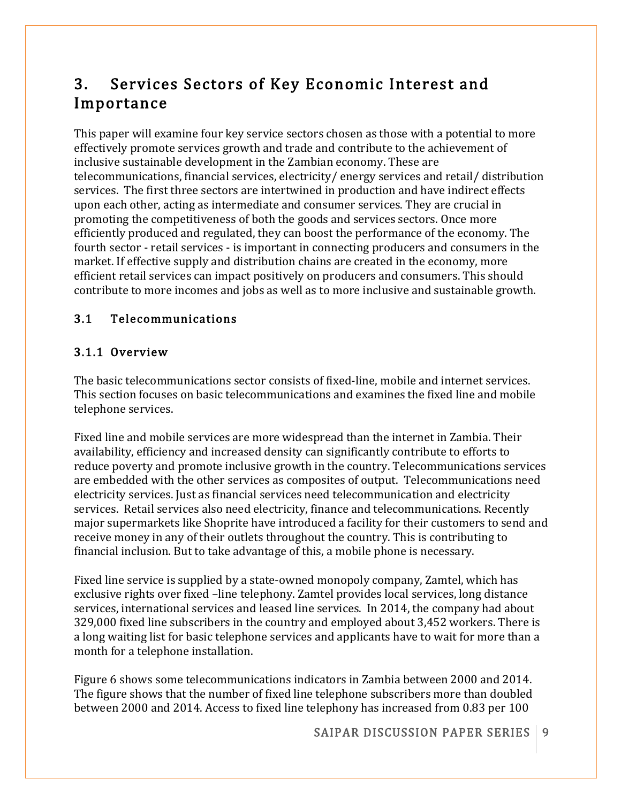## 3. Services Sectors of Key Economic Interest and Importance

This paper will examine four key service sectors chosen as those with a potential to more effectively promote services growth and trade and contribute to the achievement of inclusive sustainable development in the Zambian economy. These are telecommunications, financial services, electricity/ energy services and retail/ distribution services. The first three sectors are intertwined in production and have indirect effects upon each other, acting as intermediate and consumer services. They are crucial in promoting the competitiveness of both the goods and services sectors. Once more efficiently produced and regulated, they can boost the performance of the economy. The fourth sector - retail services - is important in connecting producers and consumers in the market. If effective supply and distribution chains are created in the economy, more efficient retail services can impact positively on producers and consumers. This should contribute to more incomes and jobs as well as to more inclusive and sustainable growth.

#### 3.1 Telecommunications

#### 3.1.1 Overview

The basic telecommunications sector consists of fixed-line, mobile and internet services. This section focuses on basic telecommunications and examines the fixed line and mobile telephone services.

Fixed line and mobile services are more widespread than the internet in Zambia. Their availability, efficiency and increased density can significantly contribute to efforts to reduce poverty and promote inclusive growth in the country. Telecommunications services are embedded with the other services as composites of output. Telecommunications need electricity services. Just as financial services need telecommunication and electricity services. Retail services also need electricity, finance and telecommunications. Recently major supermarkets like Shoprite have introduced a facility for their customers to send and receive money in any of their outlets throughout the country. This is contributing to financial inclusion. But to take advantage of this, a mobile phone is necessary.

Fixed line service is supplied by a state-owned monopoly company, Zamtel, which has exclusive rights over fixed –line telephony. Zamtel provides local services, long distance services, international services and leased line services. In 2014, the company had about 329,000 fixed line subscribers in the country and employed about 3,452 workers. There is a long waiting list for basic telephone services and applicants have to wait for more than a month for a telephone installation.

Figure 6 shows some telecommunications indicators in Zambia between 2000 and 2014. The figure shows that the number of fixed line telephone subscribers more than doubled between 2000 and 2014. Access to fixed line telephony has increased from 0.83 per 100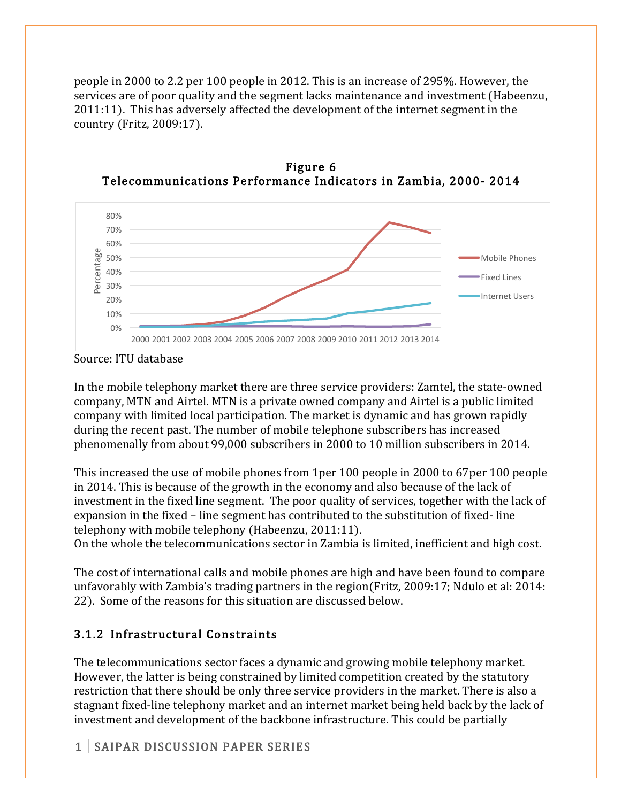people in 2000 to 2.2 per 100 people in 2012. This is an increase of 295%. However, the services are of poor quality and the segment lacks maintenance and investment (Habeenzu, 2011:11). This has adversely affected the development of the internet segment in the country (Fritz, 2009:17).



Figure 6 Telecommunications Performance Indicators in Zambia, 2000- 2014

Source: ITU database

In the mobile telephony market there are three service providers: Zamtel, the state-owned company, MTN and Airtel. MTN is a private owned company and Airtel is a public limited company with limited local participation. The market is dynamic and has grown rapidly during the recent past. The number of mobile telephone subscribers has increased phenomenally from about 99,000 subscribers in 2000 to 10 million subscribers in 2014.

This increased the use of mobile phones from 1per 100 people in 2000 to 67per 100 people in 2014. This is because of the growth in the economy and also because of the lack of investment in the fixed line segment. The poor quality of services, together with the lack of expansion in the fixed – line segment has contributed to the substitution of fixed- line telephony with mobile telephony (Habeenzu, 2011:11).

On the whole the telecommunications sector in Zambia is limited, inefficient and high cost.

The cost of international calls and mobile phones are high and have been found to compare unfavorably with Zambia's trading partners in the region(Fritz, 2009:17; Ndulo et al: 2014: 22). Some of the reasons for this situation are discussed below.

### 3.1.2 Infrastructural Constraints

The telecommunications sector faces a dynamic and growing mobile telephony market. However, the latter is being constrained by limited competition created by the statutory restriction that there should be only three service providers in the market. There is also a stagnant fixed-line telephony market and an internet market being held back by the lack of investment and development of the backbone infrastructure. This could be partially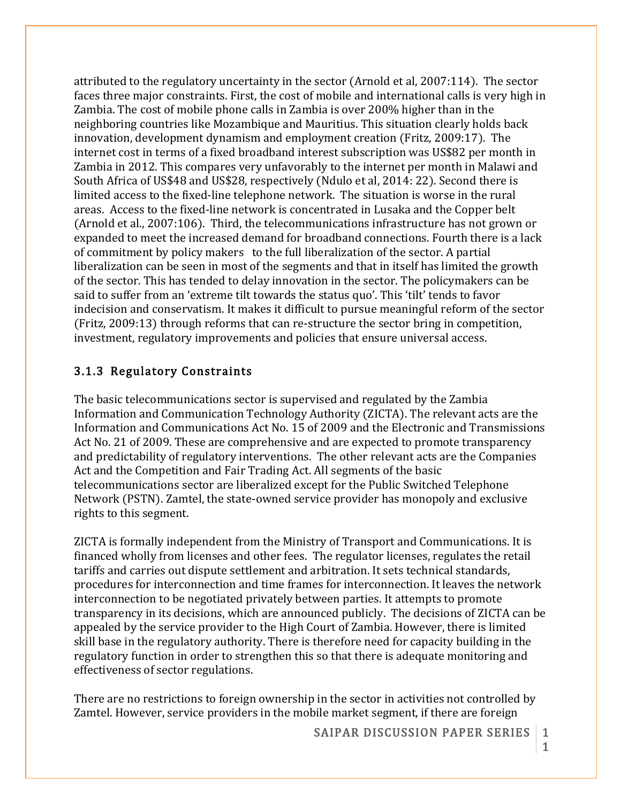attributed to the regulatory uncertainty in the sector (Arnold et al, 2007:114). The sector faces three major constraints. First, the cost of mobile and international calls is very high in Zambia. The cost of mobile phone calls in Zambia is over 200% higher than in the neighboring countries like Mozambique and Mauritius. This situation clearly holds back innovation, development dynamism and employment creation (Fritz, 2009:17). The internet cost in terms of a fixed broadband interest subscription was US\$82 per month in Zambia in 2012. This compares very unfavorably to the internet per month in Malawi and South Africa of US\$48 and US\$28, respectively (Ndulo et al, 2014: 22). Second there is limited access to the fixed-line telephone network. The situation is worse in the rural areas. Access to the fixed-line network is concentrated in Lusaka and the Copper belt (Arnold et al., 2007:106). Third, the telecommunications infrastructure has not grown or expanded to meet the increased demand for broadband connections. Fourth there is a lack of commitment by policy makers to the full liberalization of the sector. A partial liberalization can be seen in most of the segments and that in itself has limited the growth of the sector. This has tended to delay innovation in the sector. The policymakers can be said to suffer from an 'extreme tilt towards the status quo'. This 'tilt' tends to favor indecision and conservatism. It makes it difficult to pursue meaningful reform of the sector (Fritz, 2009:13) through reforms that can re-structure the sector bring in competition, investment, regulatory improvements and policies that ensure universal access.

#### 3.1.3 Regulatory Constraints

The basic telecommunications sector is supervised and regulated by the Zambia Information and Communication Technology Authority (ZICTA). The relevant acts are the Information and Communications Act No. 15 of 2009 and the Electronic and Transmissions Act No. 21 of 2009. These are comprehensive and are expected to promote transparency and predictability of regulatory interventions. The other relevant acts are the Companies Act and the Competition and Fair Trading Act. All segments of the basic telecommunications sector are liberalized except for the Public Switched Telephone Network (PSTN). Zamtel, the state-owned service provider has monopoly and exclusive rights to this segment.

ZICTA is formally independent from the Ministry of Transport and Communications. It is financed wholly from licenses and other fees. The regulator licenses, regulates the retail tariffs and carries out dispute settlement and arbitration. It sets technical standards, procedures for interconnection and time frames for interconnection. It leaves the network interconnection to be negotiated privately between parties. It attempts to promote transparency in its decisions, which are announced publicly. The decisions of ZICTA can be appealed by the service provider to the High Court of Zambia. However, there is limited skill base in the regulatory authority. There is therefore need for capacity building in the regulatory function in order to strengthen this so that there is adequate monitoring and effectiveness of sector regulations.

There are no restrictions to foreign ownership in the sector in activities not controlled by Zamtel. However, service providers in the mobile market segment, if there are foreign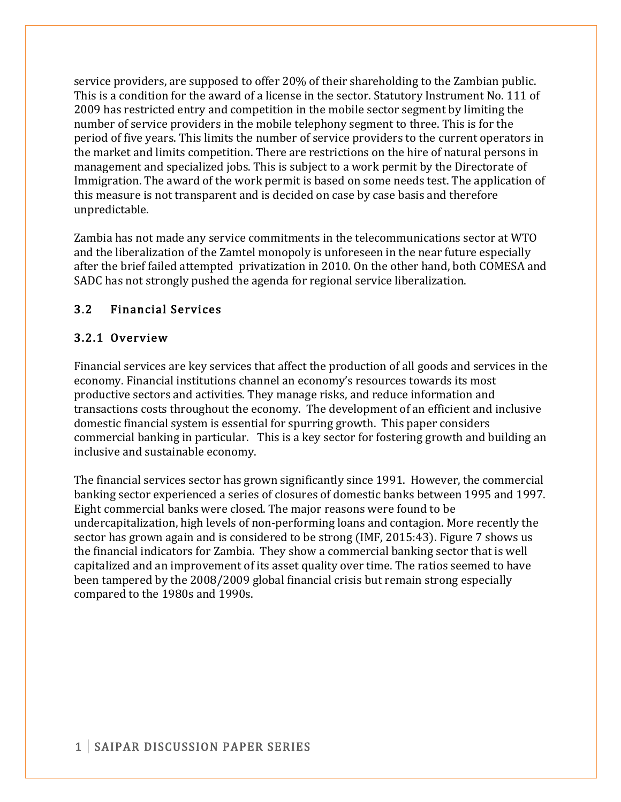service providers, are supposed to offer 20% of their shareholding to the Zambian public. This is a condition for the award of a license in the sector. Statutory Instrument No. 111 of 2009 has restricted entry and competition in the mobile sector segment by limiting the number of service providers in the mobile telephony segment to three. This is for the period of five years. This limits the number of service providers to the current operators in the market and limits competition. There are restrictions on the hire of natural persons in management and specialized jobs. This is subject to a work permit by the Directorate of Immigration. The award of the work permit is based on some needs test. The application of this measure is not transparent and is decided on case by case basis and therefore unpredictable.

Zambia has not made any service commitments in the telecommunications sector at WTO and the liberalization of the Zamtel monopoly is unforeseen in the near future especially after the brief failed attempted privatization in 2010. On the other hand, both COMESA and SADC has not strongly pushed the agenda for regional service liberalization.

#### 3.2 Financial Services

#### 3.2.1 Overview

Financial services are key services that affect the production of all goods and services in the economy. Financial institutions channel an economy's resources towards its most productive sectors and activities. They manage risks, and reduce information and transactions costs throughout the economy. The development of an efficient and inclusive domestic financial system is essential for spurring growth. This paper considers commercial banking in particular. This is a key sector for fostering growth and building an inclusive and sustainable economy.

The financial services sector has grown significantly since 1991. However, the commercial banking sector experienced a series of closures of domestic banks between 1995 and 1997. Eight commercial banks were closed. The major reasons were found to be undercapitalization, high levels of non-performing loans and contagion. More recently the sector has grown again and is considered to be strong (IMF, 2015:43). Figure 7 shows us the financial indicators for Zambia. They show a commercial banking sector that is well capitalized and an improvement of its asset quality over time. The ratios seemed to have been tampered by the 2008/2009 global financial crisis but remain strong especially compared to the 1980s and 1990s.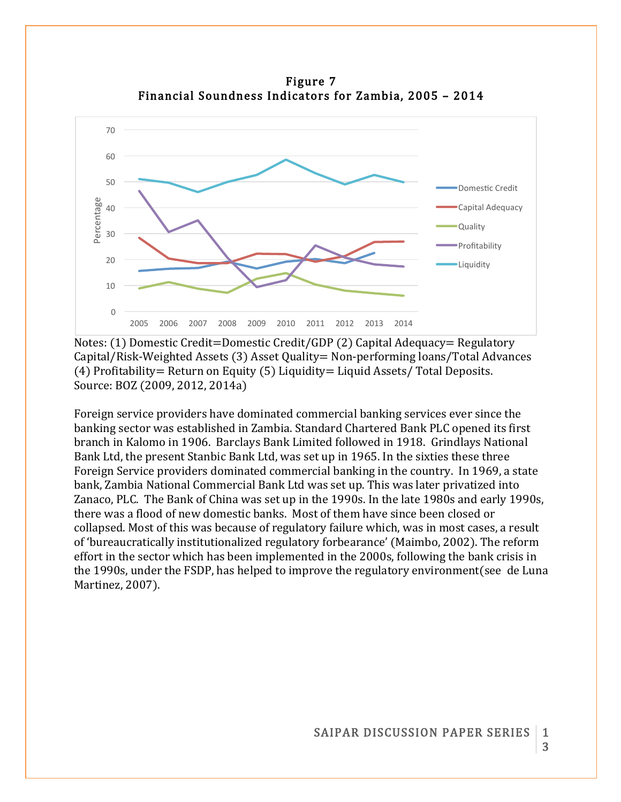

Figure 7 Financial Soundness Indicators for Zambia, 2005 – 2014

Notes: (1) Domestic Credit=Domestic Credit/GDP (2) Capital Adequacy= Regulatory Capital/Risk-Weighted Assets (3) Asset Quality= Non-performing loans/Total Advances (4) Profitability= Return on Equity (5) Liquidity= Liquid Assets/ Total Deposits. Source: BOZ (2009, 2012, 2014a)

Foreign service providers have dominated commercial banking services ever since the banking sector was established in Zambia. Standard Chartered Bank PLC opened its first branch in Kalomo in 1906. Barclays Bank Limited followed in 1918. Grindlays National Bank Ltd, the present Stanbic Bank Ltd, was set up in 1965. In the sixties these three Foreign Service providers dominated commercial banking in the country. In 1969, a state bank, Zambia National Commercial Bank Ltd was set up. This was later privatized into Zanaco, PLC. The Bank of China was set up in the 1990s. In the late 1980s and early 1990s, there was a flood of new domestic banks. Most of them have since been closed or collapsed. Most of this was because of regulatory failure which, was in most cases, a result of 'bureaucratically institutionalized regulatory forbearance' (Maimbo, 2002). The reform effort in the sector which has been implemented in the 2000s, following the bank crisis in the 1990s, under the FSDP, has helped to improve the regulatory environment(see de Luna Martinez, 2007).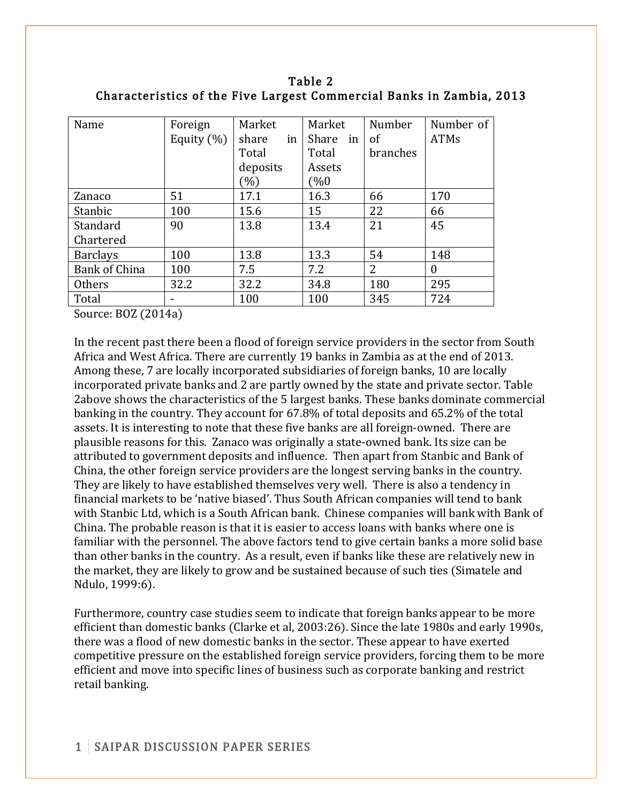Table 2 Characteristics of the Five Largest Commercial Banks in Zambia, 2013

| Name            | Foreign       | Market          | Market      | Number         | Number of   |
|-----------------|---------------|-----------------|-------------|----------------|-------------|
|                 | Equity $(\%)$ | share<br>in     | Share<br>in | of             | <b>ATMs</b> |
|                 |               | Total           | Total       | branches       |             |
|                 |               | deposits        | Assets      |                |             |
|                 |               | $\mathcal{O}_0$ | 0%          |                |             |
| Zanaco          | 51            | 17.1            | 16.3        | 66             | 170         |
| <b>Stanbic</b>  | 100           | 15.6            | 15          | 22             | 66          |
| Standard        | 90            | 13.8            | 13.4        | 21             | 45          |
| Chartered       |               |                 |             |                |             |
| <b>Barclays</b> | 100           | 13.8            | 13.3        | 54             | 148         |
| Bank of China   | 100           | 7.5             | 7.2         | $\overline{2}$ | $\theta$    |
| <b>Others</b>   | 32.2          | 32.2            | 34.8        | 180            | 295         |
| Total           |               | 100             | 100         | 345            | 724         |

Source: BOZ (2014a)

In the recent past there been a flood of foreign service providers in the sector from South Africa and West Africa. There are currently 19 banks in Zambia as at the end of 2013. Among these, 7 are locally incorporated subsidiaries of foreign banks, 10 are locally incorporated private banks and 2 are partly owned by the state and private sector. Table 2above shows the characteristics of the 5 largest banks. These banks dominate commercial banking in the country. They account for 67.8% of total deposits and 65.2% of the total assets. It is interesting to note that these five banks are all foreign-owned. There are plausible reasons for this. Zanaco was originally a state-owned bank. Its size can be attributed to government deposits and influence. Then apart from Stanbic and Bank of China, the other foreign service providers are the longest serving banks in the country. They are likely to have established themselves very well. There is also a tendency in financial markets to be 'native biased'. Thus South African companies will tend to bank with Stanbic Ltd, which is a South African bank. Chinese companies will bank with Bank of China. The probable reason is that it is easier to access loans with banks where one is familiar with the personnel. The above factors tend to give certain banks a more solid base than other banks in the country. As a result, even if banks like these are relatively new in the market, they are likely to grow and be sustained because of such ties (Simatele and Ndulo, 1999:6).

Furthermore, country case studies seem to indicate that foreign banks appear to be more efficient than domestic banks (Clarke et al, 2003:26). Since the late 1980s and early 1990s, there was a flood of new domestic banks in the sector. These appear to have exerted competitive pressure on the established foreign service providers, forcing them to be more efficient and move into specific lines of business such as corporate banking and restrict retail banking.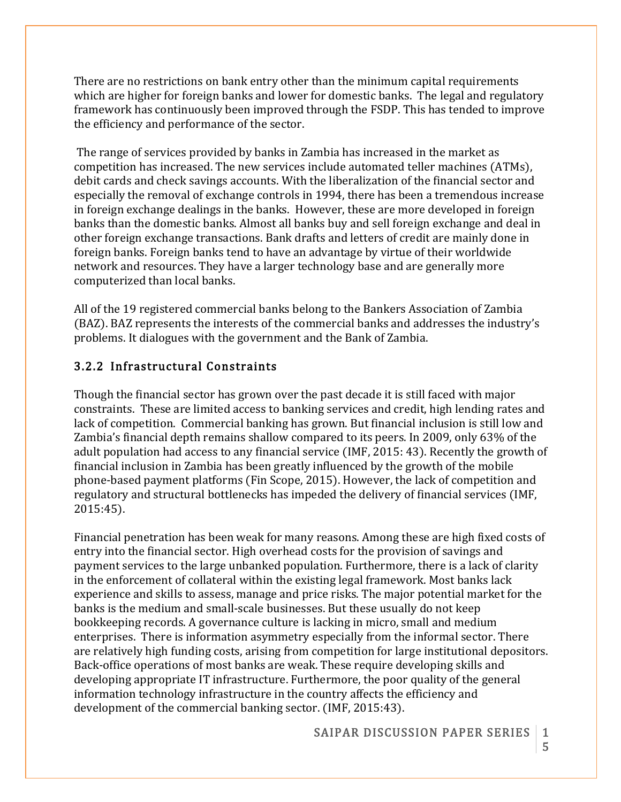There are no restrictions on bank entry other than the minimum capital requirements which are higher for foreign banks and lower for domestic banks. The legal and regulatory framework has continuously been improved through the FSDP. This has tended to improve the efficiency and performance of the sector.

The range of services provided by banks in Zambia has increased in the market as competition has increased. The new services include automated teller machines (ATMs), debit cards and check savings accounts. With the liberalization of the financial sector and especially the removal of exchange controls in 1994, there has been a tremendous increase in foreign exchange dealings in the banks. However, these are more developed in foreign banks than the domestic banks. Almost all banks buy and sell foreign exchange and deal in other foreign exchange transactions. Bank drafts and letters of credit are mainly done in foreign banks. Foreign banks tend to have an advantage by virtue of their worldwide network and resources. They have a larger technology base and are generally more computerized than local banks.

All of the 19 registered commercial banks belong to the Bankers Association of Zambia (BAZ). BAZ represents the interests of the commercial banks and addresses the industry's problems. It dialogues with the government and the Bank of Zambia.

#### 3.2.2 Infrastructural Constraints

Though the financial sector has grown over the past decade it is still faced with major constraints. These are limited access to banking services and credit, high lending rates and lack of competition. Commercial banking has grown. But financial inclusion is still low and Zambia's financial depth remains shallow compared to its peers. In 2009, only 63% of the adult population had access to any financial service (IMF, 2015: 43). Recently the growth of financial inclusion in Zambia has been greatly influenced by the growth of the mobile phone-based payment platforms (Fin Scope, 2015). However, the lack of competition and regulatory and structural bottlenecks has impeded the delivery of financial services (IMF, 2015:45).

Financial penetration has been weak for many reasons. Among these are high fixed costs of entry into the financial sector. High overhead costs for the provision of savings and payment services to the large unbanked population. Furthermore, there is a lack of clarity in the enforcement of collateral within the existing legal framework. Most banks lack experience and skills to assess, manage and price risks. The major potential market for the banks is the medium and small-scale businesses. But these usually do not keep bookkeeping records. A governance culture is lacking in micro, small and medium enterprises. There is information asymmetry especially from the informal sector. There are relatively high funding costs, arising from competition for large institutional depositors. Back-office operations of most banks are weak. These require developing skills and developing appropriate IT infrastructure. Furthermore, the poor quality of the general information technology infrastructure in the country affects the efficiency and development of the commercial banking sector. (IMF, 2015:43).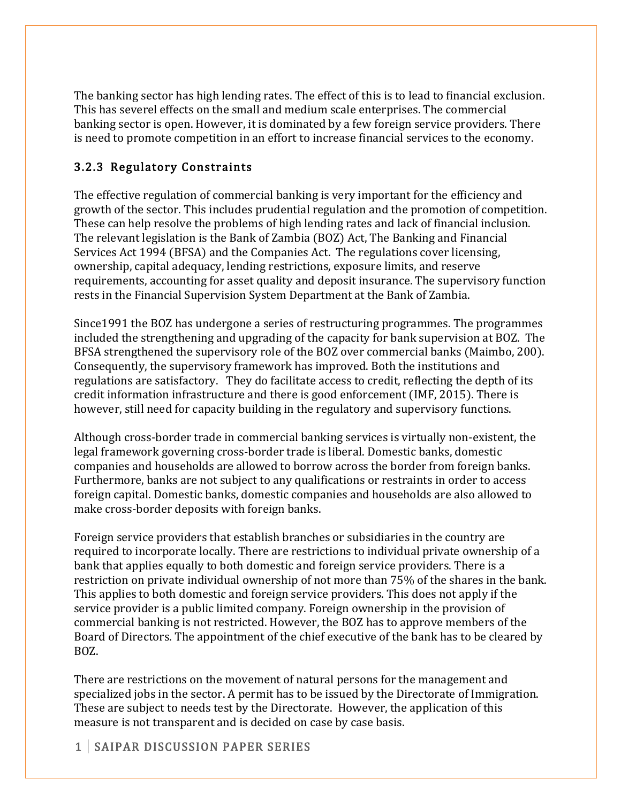The banking sector has high lending rates. The effect of this is to lead to financial exclusion. This has severel effects on the small and medium scale enterprises. The commercial banking sector is open. However, it is dominated by a few foreign service providers. There is need to promote competition in an effort to increase financial services to the economy.

#### 3.2.3 Regulatory Constraints

The effective regulation of commercial banking is very important for the efficiency and growth of the sector. This includes prudential regulation and the promotion of competition. These can help resolve the problems of high lending rates and lack of financial inclusion. The relevant legislation is the Bank of Zambia (BOZ) Act, The Banking and Financial Services Act 1994 (BFSA) and the Companies Act. The regulations cover licensing, ownership, capital adequacy, lending restrictions, exposure limits, and reserve requirements, accounting for asset quality and deposit insurance. The supervisory function rests in the Financial Supervision System Department at the Bank of Zambia.

Since1991 the BOZ has undergone a series of restructuring programmes. The programmes included the strengthening and upgrading of the capacity for bank supervision at BOZ. The BFSA strengthened the supervisory role of the BOZ over commercial banks (Maimbo, 200). Consequently, the supervisory framework has improved. Both the institutions and regulations are satisfactory. They do facilitate access to credit, reflecting the depth of its credit information infrastructure and there is good enforcement (IMF, 2015). There is however, still need for capacity building in the regulatory and supervisory functions.

Although cross-border trade in commercial banking services is virtually non-existent, the legal framework governing cross-border trade is liberal. Domestic banks, domestic companies and households are allowed to borrow across the border from foreign banks. Furthermore, banks are not subject to any qualifications or restraints in order to access foreign capital. Domestic banks, domestic companies and households are also allowed to make cross-border deposits with foreign banks.

Foreign service providers that establish branches or subsidiaries in the country are required to incorporate locally. There are restrictions to individual private ownership of a bank that applies equally to both domestic and foreign service providers. There is a restriction on private individual ownership of not more than 75% of the shares in the bank. This applies to both domestic and foreign service providers. This does not apply if the service provider is a public limited company. Foreign ownership in the provision of commercial banking is not restricted. However, the BOZ has to approve members of the Board of Directors. The appointment of the chief executive of the bank has to be cleared by BOZ.

There are restrictions on the movement of natural persons for the management and specialized jobs in the sector. A permit has to be issued by the Directorate of Immigration. These are subject to needs test by the Directorate. However, the application of this measure is not transparent and is decided on case by case basis.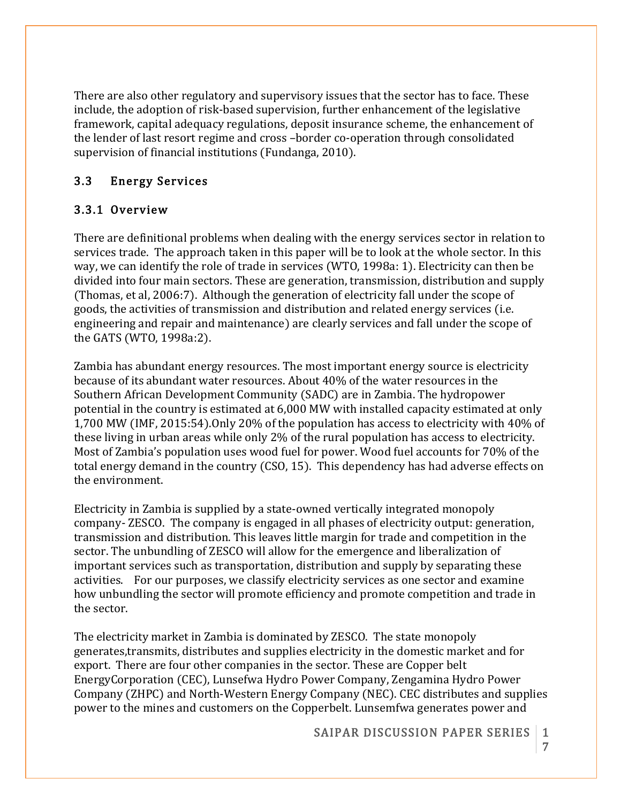There are also other regulatory and supervisory issues that the sector has to face. These include, the adoption of risk-based supervision, further enhancement of the legislative framework, capital adequacy regulations, deposit insurance scheme, the enhancement of the lender of last resort regime and cross –border co-operation through consolidated supervision of financial institutions (Fundanga, 2010).

#### 3.3 Energy Services

#### 3.3.1 Overview

There are definitional problems when dealing with the energy services sector in relation to services trade. The approach taken in this paper will be to look at the whole sector. In this way, we can identify the role of trade in services (WTO, 1998a: 1). Electricity can then be divided into four main sectors. These are generation, transmission, distribution and supply (Thomas, et al, 2006:7). Although the generation of electricity fall under the scope of goods, the activities of transmission and distribution and related energy services (i.e. engineering and repair and maintenance) are clearly services and fall under the scope of the GATS (WTO, 1998a:2).

Zambia has abundant energy resources. The most important energy source is electricity because of its abundant water resources. About 40% of the water resources in the Southern African Development Community (SADC) are in Zambia. The hydropower potential in the country is estimated at 6,000 MW with installed capacity estimated at only 1,700 MW (IMF, 2015:54).Only 20% of the population has access to electricity with 40% of these living in urban areas while only 2% of the rural population has access to electricity. Most of Zambia's population uses wood fuel for power. Wood fuel accounts for 70% of the total energy demand in the country (CSO, 15). This dependency has had adverse effects on the environment.

Electricity in Zambia is supplied by a state-owned vertically integrated monopoly company- ZESCO. The company is engaged in all phases of electricity output: generation, transmission and distribution. This leaves little margin for trade and competition in the sector. The unbundling of ZESCO will allow for the emergence and liberalization of important services such as transportation, distribution and supply by separating these activities. For our purposes, we classify electricity services as one sector and examine how unbundling the sector will promote efficiency and promote competition and trade in the sector.

The electricity market in Zambia is dominated by ZESCO. The state monopoly generates,transmits, distributes and supplies electricity in the domestic market and for export. There are four other companies in the sector. These are Copper belt EnergyCorporation (CEC), Lunsefwa Hydro Power Company, Zengamina Hydro Power Company (ZHPC) and North-Western Energy Company (NEC). CEC distributes and supplies power to the mines and customers on the Copperbelt. Lunsemfwa generates power and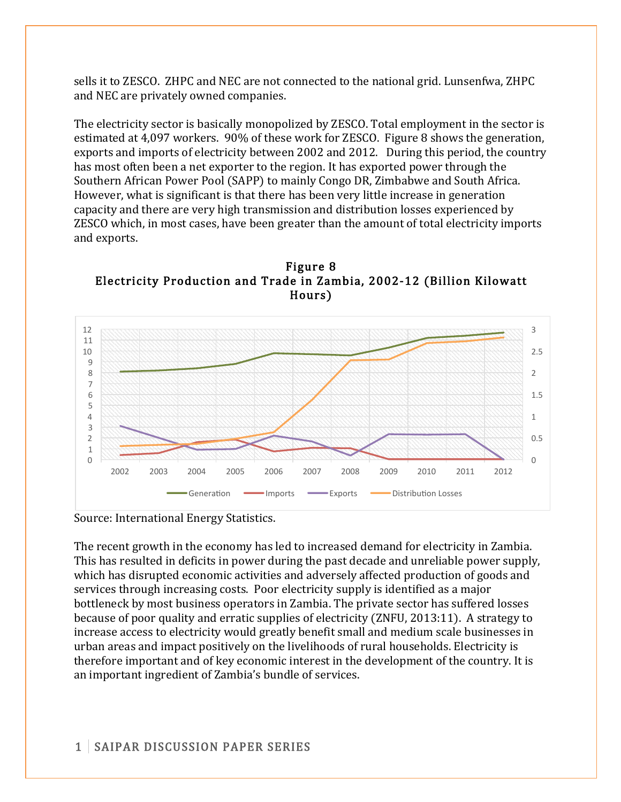sells it to ZESCO. ZHPC and NEC are not connected to the national grid. Lunsenfwa, ZHPC and NEC are privately owned companies.

The electricity sector is basically monopolized by ZESCO. Total employment in the sector is estimated at 4,097 workers. 90% of these work for ZESCO. Figure 8 shows the generation, exports and imports of electricity between 2002 and 2012. During this period, the country has most often been a net exporter to the region. It has exported power through the Southern African Power Pool (SAPP) to mainly Congo DR, Zimbabwe and South Africa. However, what is significant is that there has been very little increase in generation capacity and there are very high transmission and distribution losses experienced by ZESCO which, in most cases, have been greater than the amount of total electricity imports and exports.





Source: International Energy Statistics.

The recent growth in the economy has led to increased demand for electricity in Zambia. This has resulted in deficits in power during the past decade and unreliable power supply, which has disrupted economic activities and adversely affected production of goods and services through increasing costs. Poor electricity supply is identified as a major bottleneck by most business operators in Zambia. The private sector has suffered losses because of poor quality and erratic supplies of electricity (ZNFU, 2013:11). A strategy to increase access to electricity would greatly benefit small and medium scale businesses in urban areas and impact positively on the livelihoods of rural households. Electricity is therefore important and of key economic interest in the development of the country. It is an important ingredient of Zambia's bundle of services.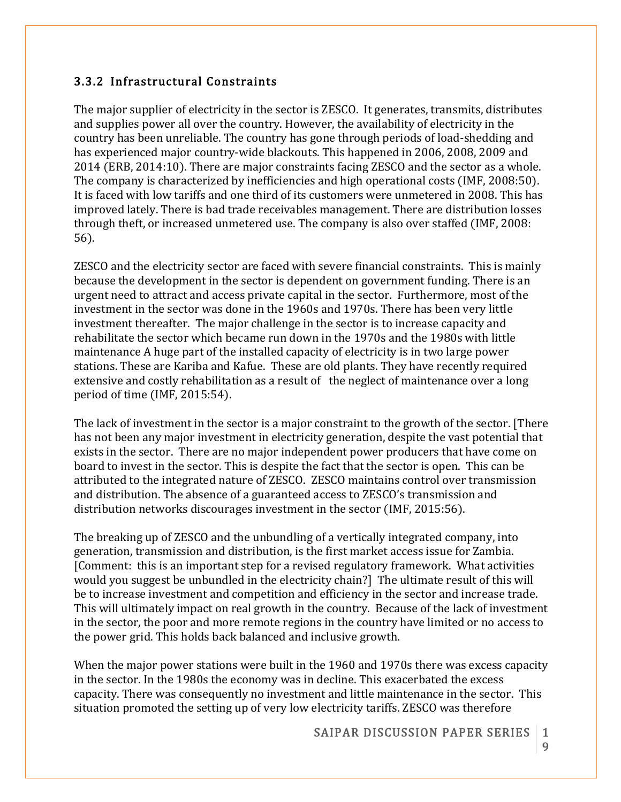#### 3.3.2 Infrastructural Constraints

The major supplier of electricity in the sector is ZESCO. It generates, transmits, distributes and supplies power all over the country. However, the availability of electricity in the country has been unreliable. The country has gone through periods of load-shedding and has experienced major country-wide blackouts. This happened in 2006, 2008, 2009 and 2014 (ERB, 2014:10). There are major constraints facing ZESCO and the sector as a whole. The company is characterized by inefficiencies and high operational costs (IMF, 2008:50). It is faced with low tariffs and one third of its customers were unmetered in 2008. This has improved lately. There is bad trade receivables management. There are distribution losses through theft, or increased unmetered use. The company is also over staffed (IMF, 2008: 56).

ZESCO and the electricity sector are faced with severe financial constraints. This is mainly because the development in the sector is dependent on government funding. There is an urgent need to attract and access private capital in the sector. Furthermore, most of the investment in the sector was done in the 1960s and 1970s. There has been very little investment thereafter. The major challenge in the sector is to increase capacity and rehabilitate the sector which became run down in the 1970s and the 1980s with little maintenance A huge part of the installed capacity of electricity is in two large power stations. These are Kariba and Kafue. These are old plants. They have recently required extensive and costly rehabilitation as a result of the neglect of maintenance over a long period of time (IMF, 2015:54).

The lack of investment in the sector is a major constraint to the growth of the sector. [There has not been any major investment in electricity generation, despite the vast potential that exists in the sector. There are no major independent power producers that have come on board to invest in the sector. This is despite the fact that the sector is open. This can be attributed to the integrated nature of ZESCO. ZESCO maintains control over transmission and distribution. The absence of a guaranteed access to ZESCO's transmission and distribution networks discourages investment in the sector (IMF, 2015:56).

The breaking up of ZESCO and the unbundling of a vertically integrated company, into generation, transmission and distribution, is the first market access issue for Zambia. [Comment: this is an important step for a revised regulatory framework. What activities would you suggest be unbundled in the electricity chain?] The ultimate result of this will be to increase investment and competition and efficiency in the sector and increase trade. This will ultimately impact on real growth in the country. Because of the lack of investment in the sector, the poor and more remote regions in the country have limited or no access to the power grid. This holds back balanced and inclusive growth.

When the major power stations were built in the 1960 and 1970s there was excess capacity in the sector. In the 1980s the economy was in decline. This exacerbated the excess capacity. There was consequently no investment and little maintenance in the sector. This situation promoted the setting up of very low electricity tariffs. ZESCO was therefore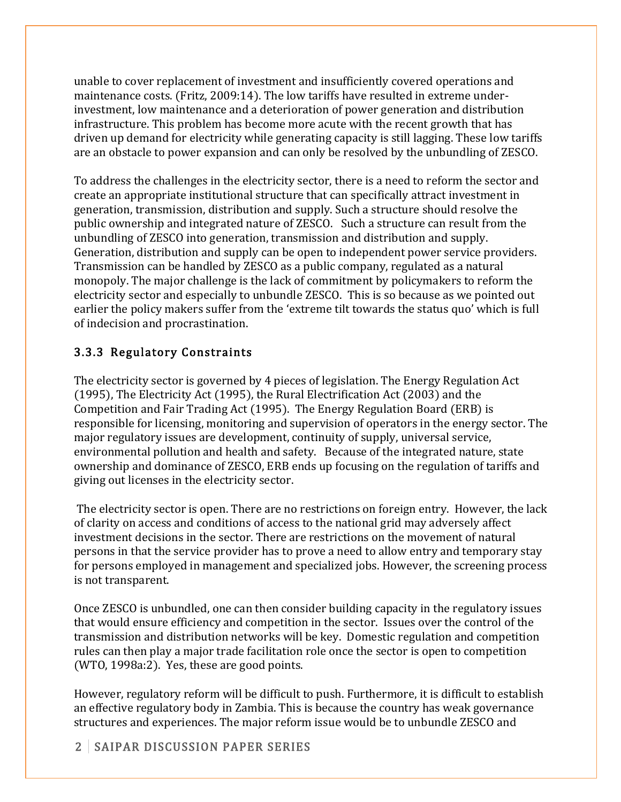unable to cover replacement of investment and insufficiently covered operations and maintenance costs. (Fritz, 2009:14). The low tariffs have resulted in extreme underinvestment, low maintenance and a deterioration of power generation and distribution infrastructure. This problem has become more acute with the recent growth that has driven up demand for electricity while generating capacity is still lagging. These low tariffs are an obstacle to power expansion and can only be resolved by the unbundling of ZESCO.

To address the challenges in the electricity sector, there is a need to reform the sector and create an appropriate institutional structure that can specifically attract investment in generation, transmission, distribution and supply. Such a structure should resolve the public ownership and integrated nature of ZESCO. Such a structure can result from the unbundling of ZESCO into generation, transmission and distribution and supply. Generation, distribution and supply can be open to independent power service providers. Transmission can be handled by ZESCO as a public company, regulated as a natural monopoly. The major challenge is the lack of commitment by policymakers to reform the electricity sector and especially to unbundle ZESCO. This is so because as we pointed out earlier the policy makers suffer from the 'extreme tilt towards the status quo' which is full of indecision and procrastination.

#### 3.3.3 Regulatory Constraints

The electricity sector is governed by 4 pieces of legislation. The Energy Regulation Act (1995), The Electricity Act (1995), the Rural Electrification Act (2003) and the Competition and Fair Trading Act (1995). The Energy Regulation Board (ERB) is responsible for licensing, monitoring and supervision of operators in the energy sector. The major regulatory issues are development, continuity of supply, universal service, environmental pollution and health and safety. Because of the integrated nature, state ownership and dominance of ZESCO, ERB ends up focusing on the regulation of tariffs and giving out licenses in the electricity sector.

The electricity sector is open. There are no restrictions on foreign entry. However, the lack of clarity on access and conditions of access to the national grid may adversely affect investment decisions in the sector. There are restrictions on the movement of natural persons in that the service provider has to prove a need to allow entry and temporary stay for persons employed in management and specialized jobs. However, the screening process is not transparent.

Once ZESCO is unbundled, one can then consider building capacity in the regulatory issues that would ensure efficiency and competition in the sector. Issues over the control of the transmission and distribution networks will be key. Domestic regulation and competition rules can then play a major trade facilitation role once the sector is open to competition (WTO, 1998a:2). Yes, these are good points.

However, regulatory reform will be difficult to push. Furthermore, it is difficult to establish an effective regulatory body in Zambia. This is because the country has weak governance structures and experiences. The major reform issue would be to unbundle ZESCO and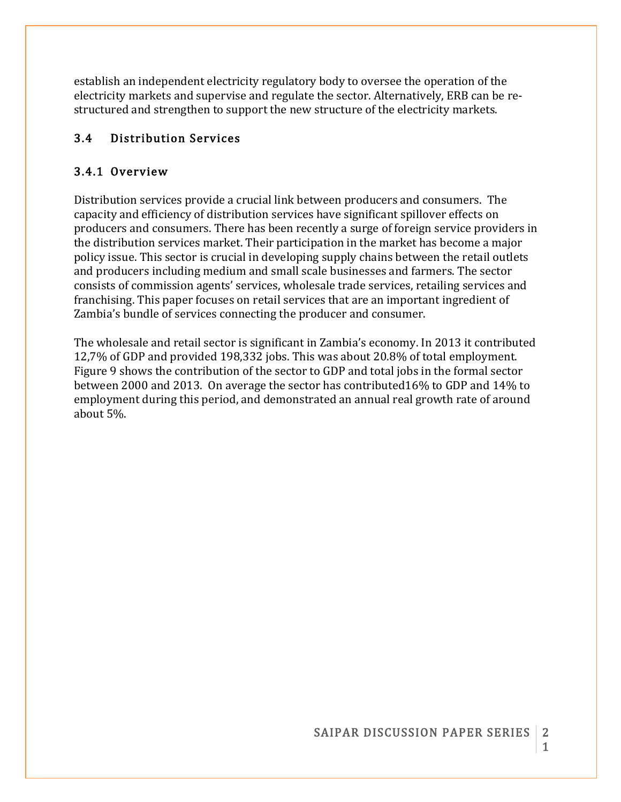establish an independent electricity regulatory body to oversee the operation of the electricity markets and supervise and regulate the sector. Alternatively, ERB can be restructured and strengthen to support the new structure of the electricity markets.

#### 3.4 Distribution Services

#### 3.4.1 Overview

Distribution services provide a crucial link between producers and consumers. The capacity and efficiency of distribution services have significant spillover effects on producers and consumers. There has been recently a surge of foreign service providers in the distribution services market. Their participation in the market has become a major policy issue. This sector is crucial in developing supply chains between the retail outlets and producers including medium and small scale businesses and farmers. The sector consists of commission agents' services, wholesale trade services, retailing services and franchising. This paper focuses on retail services that are an important ingredient of Zambia's bundle of services connecting the producer and consumer.

The wholesale and retail sector is significant in Zambia's economy. In 2013 it contributed 12,7% of GDP and provided 198,332 jobs. This was about 20.8% of total employment. Figure 9 shows the contribution of the sector to GDP and total jobs in the formal sector between 2000 and 2013. On average the sector has contributed16% to GDP and 14% to employment during this period, and demonstrated an annual real growth rate of around about 5%.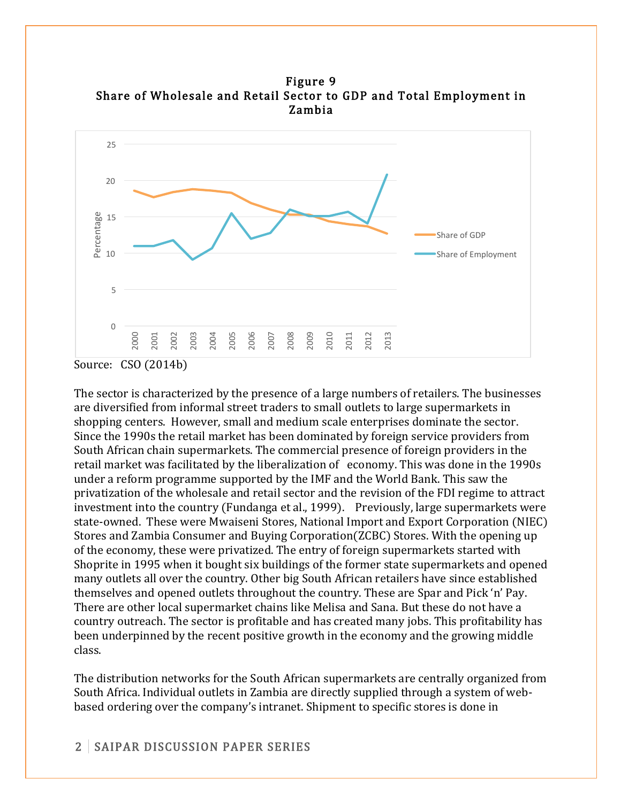

Figure 9 Share of Wholesale and Retail Sector to GDP and Total Employment in Zambia

The sector is characterized by the presence of a large numbers of retailers. The businesses are diversified from informal street traders to small outlets to large supermarkets in shopping centers. However, small and medium scale enterprises dominate the sector. Since the 1990s the retail market has been dominated by foreign service providers from South African chain supermarkets. The commercial presence of foreign providers in the retail market was facilitated by the liberalization of economy. This was done in the 1990s under a reform programme supported by the IMF and the World Bank. This saw the privatization of the wholesale and retail sector and the revision of the FDI regime to attract investment into the country (Fundanga et al., 1999). Previously, large supermarkets were state-owned. These were Mwaiseni Stores, National Import and Export Corporation (NIEC) Stores and Zambia Consumer and Buying Corporation(ZCBC) Stores. With the opening up of the economy, these were privatized. The entry of foreign supermarkets started with Shoprite in 1995 when it bought six buildings of the former state supermarkets and opened many outlets all over the country. Other big South African retailers have since established themselves and opened outlets throughout the country. These are Spar and Pick 'n' Pay. There are other local supermarket chains like Melisa and Sana. But these do not have a country outreach. The sector is profitable and has created many jobs. This profitability has been underpinned by the recent positive growth in the economy and the growing middle class.

The distribution networks for the South African supermarkets are centrally organized from South Africa. Individual outlets in Zambia are directly supplied through a system of webbased ordering over the company's intranet. Shipment to specific stores is done in

Source: CSO (2014b)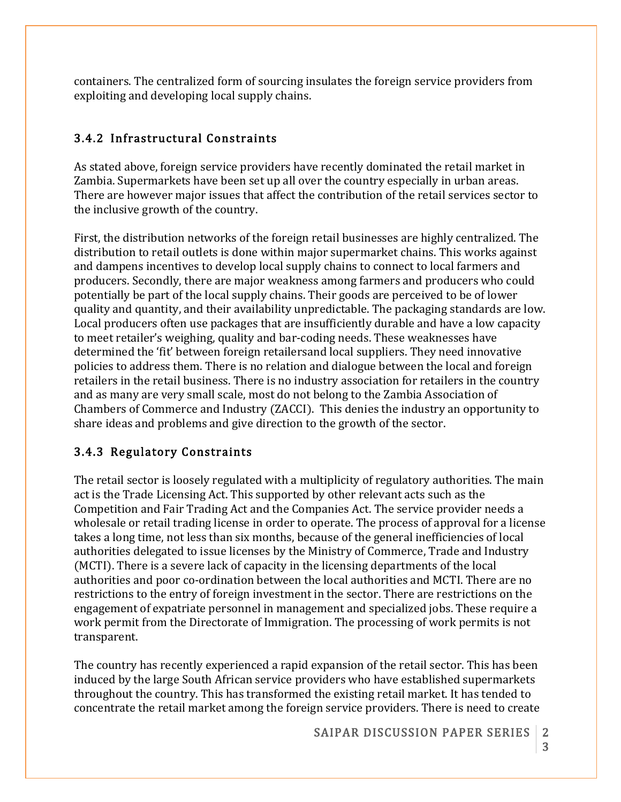containers. The centralized form of sourcing insulates the foreign service providers from exploiting and developing local supply chains.

### 3.4.2 Infrastructural Constraints

As stated above, foreign service providers have recently dominated the retail market in Zambia. Supermarkets have been set up all over the country especially in urban areas. There are however major issues that affect the contribution of the retail services sector to the inclusive growth of the country.

First, the distribution networks of the foreign retail businesses are highly centralized. The distribution to retail outlets is done within major supermarket chains. This works against and dampens incentives to develop local supply chains to connect to local farmers and producers. Secondly, there are major weakness among farmers and producers who could potentially be part of the local supply chains. Their goods are perceived to be of lower quality and quantity, and their availability unpredictable. The packaging standards are low. Local producers often use packages that are insufficiently durable and have a low capacity to meet retailer's weighing, quality and bar-coding needs. These weaknesses have determined the 'fit' between foreign retailersand local suppliers. They need innovative policies to address them. There is no relation and dialogue between the local and foreign retailers in the retail business. There is no industry association for retailers in the country and as many are very small scale, most do not belong to the Zambia Association of Chambers of Commerce and Industry (ZACCI). This denies the industry an opportunity to share ideas and problems and give direction to the growth of the sector.

### 3.4.3 Regulatory Constraints

The retail sector is loosely regulated with a multiplicity of regulatory authorities. The main act is the Trade Licensing Act. This supported by other relevant acts such as the Competition and Fair Trading Act and the Companies Act. The service provider needs a wholesale or retail trading license in order to operate. The process of approval for a license takes a long time, not less than six months, because of the general inefficiencies of local authorities delegated to issue licenses by the Ministry of Commerce, Trade and Industry (MCTI). There is a severe lack of capacity in the licensing departments of the local authorities and poor co-ordination between the local authorities and MCTI. There are no restrictions to the entry of foreign investment in the sector. There are restrictions on the engagement of expatriate personnel in management and specialized jobs. These require a work permit from the Directorate of Immigration. The processing of work permits is not transparent.

The country has recently experienced a rapid expansion of the retail sector. This has been induced by the large South African service providers who have established supermarkets throughout the country. This has transformed the existing retail market. It has tended to concentrate the retail market among the foreign service providers. There is need to create

3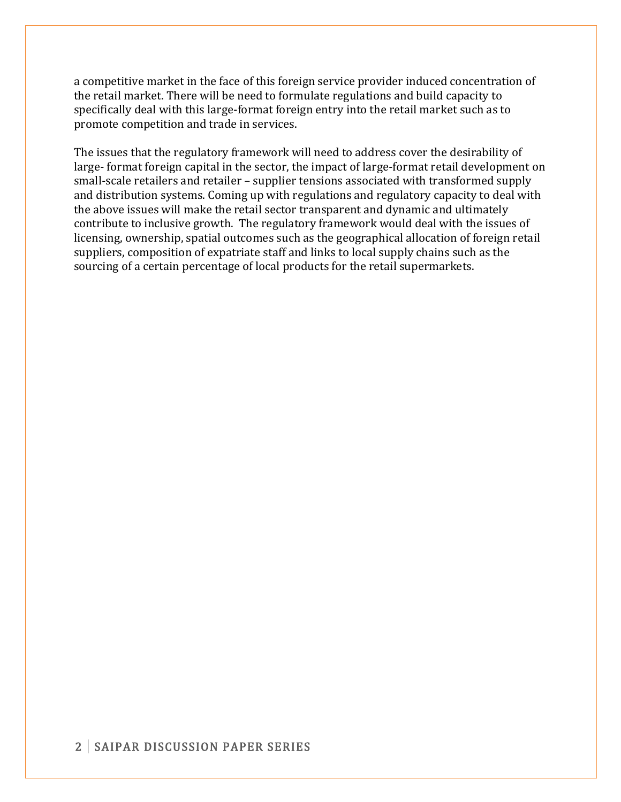a competitive market in the face of this foreign service provider induced concentration of the retail market. There will be need to formulate regulations and build capacity to specifically deal with this large-format foreign entry into the retail market such as to promote competition and trade in services.

The issues that the regulatory framework will need to address cover the desirability of large- format foreign capital in the sector, the impact of large-format retail development on small-scale retailers and retailer – supplier tensions associated with transformed supply and distribution systems. Coming up with regulations and regulatory capacity to deal with the above issues will make the retail sector transparent and dynamic and ultimately contribute to inclusive growth. The regulatory framework would deal with the issues of licensing, ownership, spatial outcomes such as the geographical allocation of foreign retail suppliers, composition of expatriate staff and links to local supply chains such as the sourcing of a certain percentage of local products for the retail supermarkets.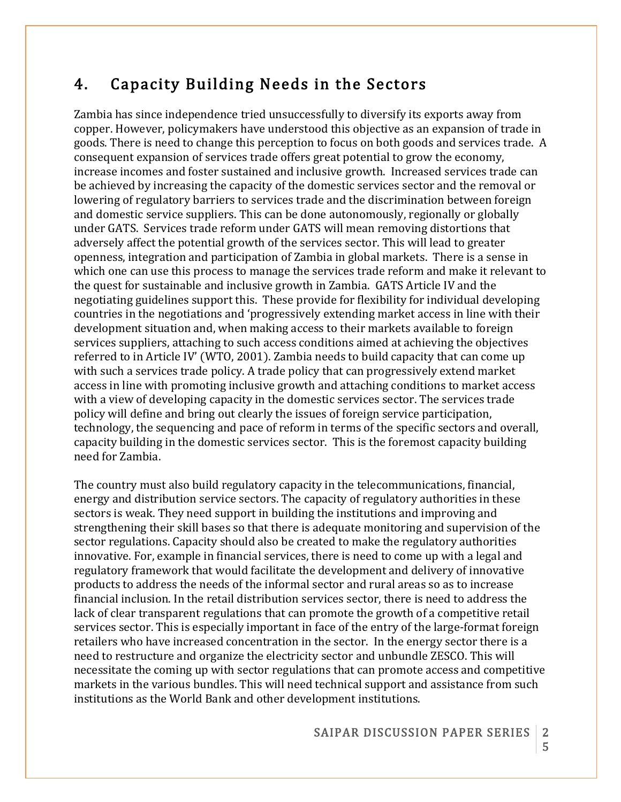### 4. Capacity Building Needs in the Sectors

Zambia has since independence tried unsuccessfully to diversify its exports away from copper. However, policymakers have understood this objective as an expansion of trade in goods. There is need to change this perception to focus on both goods and services trade. A consequent expansion of services trade offers great potential to grow the economy, increase incomes and foster sustained and inclusive growth. Increased services trade can be achieved by increasing the capacity of the domestic services sector and the removal or lowering of regulatory barriers to services trade and the discrimination between foreign and domestic service suppliers. This can be done autonomously, regionally or globally under GATS. Services trade reform under GATS will mean removing distortions that adversely affect the potential growth of the services sector. This will lead to greater openness, integration and participation of Zambia in global markets. There is a sense in which one can use this process to manage the services trade reform and make it relevant to the quest for sustainable and inclusive growth in Zambia. GATS Article IV and the negotiating guidelines support this. These provide for flexibility for individual developing countries in the negotiations and 'progressively extending market access in line with their development situation and, when making access to their markets available to foreign services suppliers, attaching to such access conditions aimed at achieving the objectives referred to in Article IV' (WTO, 2001). Zambia needs to build capacity that can come up with such a services trade policy. A trade policy that can progressively extend market access in line with promoting inclusive growth and attaching conditions to market access with a view of developing capacity in the domestic services sector. The services trade policy will define and bring out clearly the issues of foreign service participation, technology, the sequencing and pace of reform in terms of the specific sectors and overall, capacity building in the domestic services sector. This is the foremost capacity building need for Zambia.

The country must also build regulatory capacity in the telecommunications, financial, energy and distribution service sectors. The capacity of regulatory authorities in these sectors is weak. They need support in building the institutions and improving and strengthening their skill bases so that there is adequate monitoring and supervision of the sector regulations. Capacity should also be created to make the regulatory authorities innovative. For, example in financial services, there is need to come up with a legal and regulatory framework that would facilitate the development and delivery of innovative products to address the needs of the informal sector and rural areas so as to increase financial inclusion. In the retail distribution services sector, there is need to address the lack of clear transparent regulations that can promote the growth of a competitive retail services sector. This is especially important in face of the entry of the large-format foreign retailers who have increased concentration in the sector. In the energy sector there is a need to restructure and organize the electricity sector and unbundle ZESCO. This will necessitate the coming up with sector regulations that can promote access and competitive markets in the various bundles. This will need technical support and assistance from such institutions as the World Bank and other development institutions.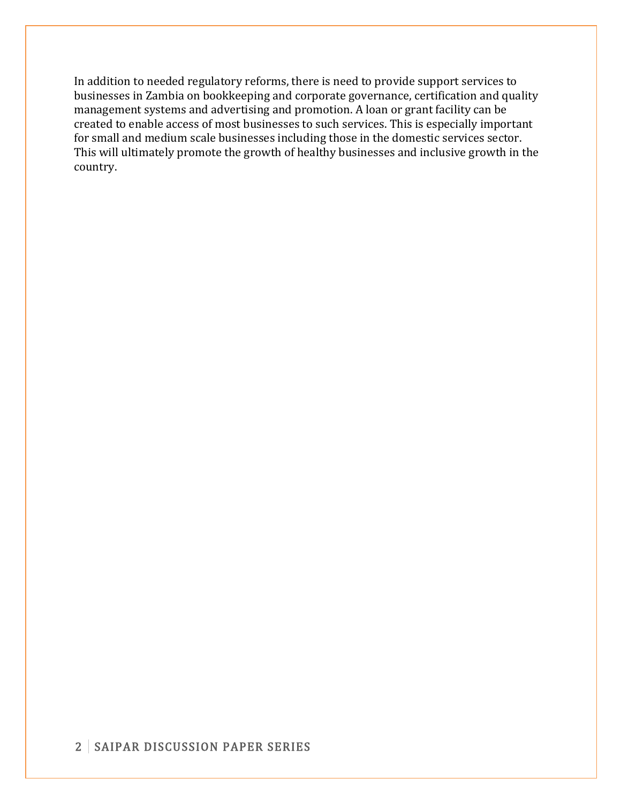In addition to needed regulatory reforms, there is need to provide support services to businesses in Zambia on bookkeeping and corporate governance, certification and quality management systems and advertising and promotion. A loan or grant facility can be created to enable access of most businesses to such services. This is especially important for small and medium scale businesses including those in the domestic services sector. This will ultimately promote the growth of healthy businesses and inclusive growth in the country.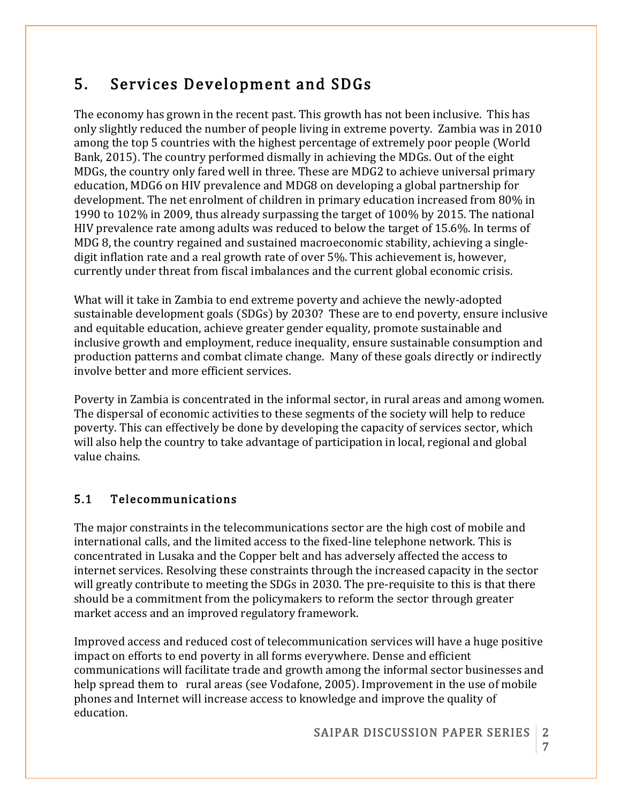# 5. Services Development and SDGs

The economy has grown in the recent past. This growth has not been inclusive. This has only slightly reduced the number of people living in extreme poverty. Zambia was in 2010 among the top 5 countries with the highest percentage of extremely poor people (World Bank, 2015). The country performed dismally in achieving the MDGs. Out of the eight MDGs, the country only fared well in three. These are MDG2 to achieve universal primary education, MDG6 on HIV prevalence and MDG8 on developing a global partnership for development. The net enrolment of children in primary education increased from 80% in 1990 to 102% in 2009, thus already surpassing the target of 100% by 2015. The national HIV prevalence rate among adults was reduced to below the target of 15.6%. In terms of MDG 8, the country regained and sustained macroeconomic stability, achieving a singledigit inflation rate and a real growth rate of over 5%. This achievement is, however, currently under threat from fiscal imbalances and the current global economic crisis.

What will it take in Zambia to end extreme poverty and achieve the newly-adopted sustainable development goals (SDGs) by 2030? These are to end poverty, ensure inclusive and equitable education, achieve greater gender equality, promote sustainable and inclusive growth and employment, reduce inequality, ensure sustainable consumption and production patterns and combat climate change. Many of these goals directly or indirectly involve better and more efficient services.

Poverty in Zambia is concentrated in the informal sector, in rural areas and among women. The dispersal of economic activities to these segments of the society will help to reduce poverty. This can effectively be done by developing the capacity of services sector, which will also help the country to take advantage of participation in local, regional and global value chains.

#### 5.1 Telecommunications

The major constraints in the telecommunications sector are the high cost of mobile and international calls, and the limited access to the fixed-line telephone network. This is concentrated in Lusaka and the Copper belt and has adversely affected the access to internet services. Resolving these constraints through the increased capacity in the sector will greatly contribute to meeting the SDGs in 2030. The pre-requisite to this is that there should be a commitment from the policymakers to reform the sector through greater market access and an improved regulatory framework.

Improved access and reduced cost of telecommunication services will have a huge positive impact on efforts to end poverty in all forms everywhere. Dense and efficient communications will facilitate trade and growth among the informal sector businesses and help spread them to rural areas (see Vodafone, 2005). Improvement in the use of mobile phones and Internet will increase access to knowledge and improve the quality of education.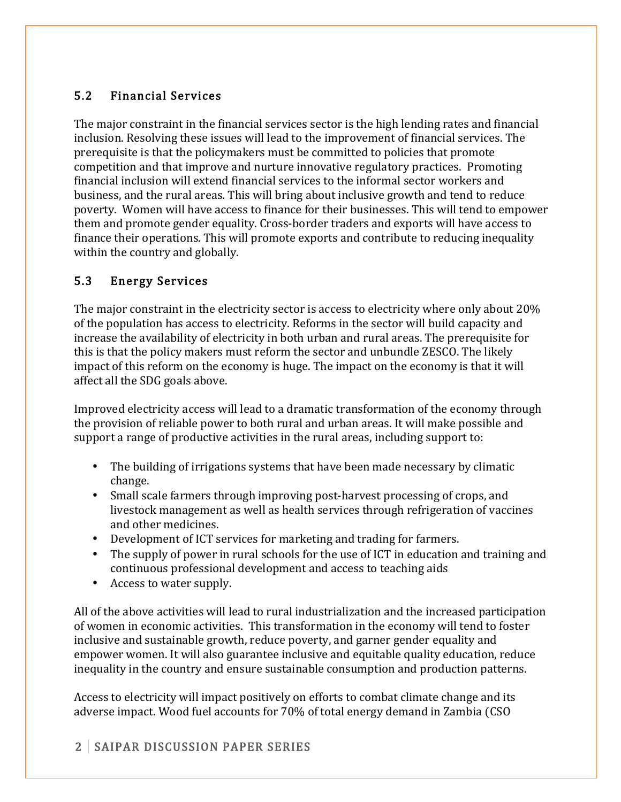### 5.2 Financial Services

The major constraint in the financial services sector is the high lending rates and financial inclusion. Resolving these issues will lead to the improvement of financial services. The prerequisite is that the policymakers must be committed to policies that promote competition and that improve and nurture innovative regulatory practices. Promoting financial inclusion will extend financial services to the informal sector workers and business, and the rural areas. This will bring about inclusive growth and tend to reduce poverty. Women will have access to finance for their businesses. This will tend to empower them and promote gender equality. Cross-border traders and exports will have access to finance their operations. This will promote exports and contribute to reducing inequality within the country and globally.

#### 5.3 Energy Services

The major constraint in the electricity sector is access to electricity where only about 20% of the population has access to electricity. Reforms in the sector will build capacity and increase the availability of electricity in both urban and rural areas. The prerequisite for this is that the policy makers must reform the sector and unbundle ZESCO. The likely impact of this reform on the economy is huge. The impact on the economy is that it will affect all the SDG goals above.

Improved electricity access will lead to a dramatic transformation of the economy through the provision of reliable power to both rural and urban areas. It will make possible and support a range of productive activities in the rural areas, including support to:

- The building of irrigations systems that have been made necessary by climatic change.
- Small scale farmers through improving post-harvest processing of crops, and livestock management as well as health services through refrigeration of vaccines and other medicines.
- Development of ICT services for marketing and trading for farmers.
- The supply of power in rural schools for the use of ICT in education and training and continuous professional development and access to teaching aids
- Access to water supply.

All of the above activities will lead to rural industrialization and the increased participation of women in economic activities. This transformation in the economy will tend to foster inclusive and sustainable growth, reduce poverty, and garner gender equality and empower women. It will also guarantee inclusive and equitable quality education, reduce inequality in the country and ensure sustainable consumption and production patterns.

Access to electricity will impact positively on efforts to combat climate change and its adverse impact. Wood fuel accounts for 70% of total energy demand in Zambia (CSO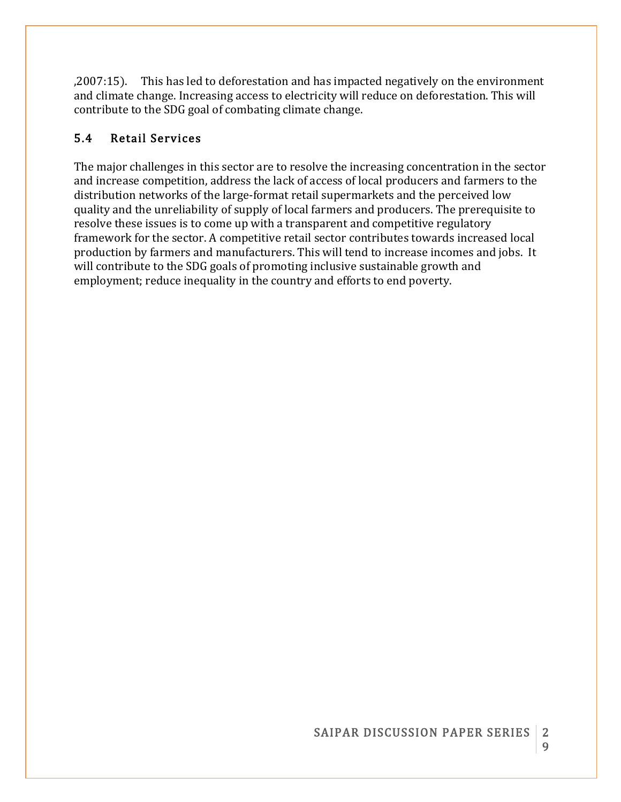,2007:15). This has led to deforestation and has impacted negatively on the environment and climate change. Increasing access to electricity will reduce on deforestation. This will contribute to the SDG goal of combating climate change.

### 5.4 Retail Services

The major challenges in this sector are to resolve the increasing concentration in the sector and increase competition, address the lack of access of local producers and farmers to the distribution networks of the large-format retail supermarkets and the perceived low quality and the unreliability of supply of local farmers and producers. The prerequisite to resolve these issues is to come up with a transparent and competitive regulatory framework for the sector. A competitive retail sector contributes towards increased local production by farmers and manufacturers. This will tend to increase incomes and jobs. It will contribute to the SDG goals of promoting inclusive sustainable growth and employment; reduce inequality in the country and efforts to end poverty.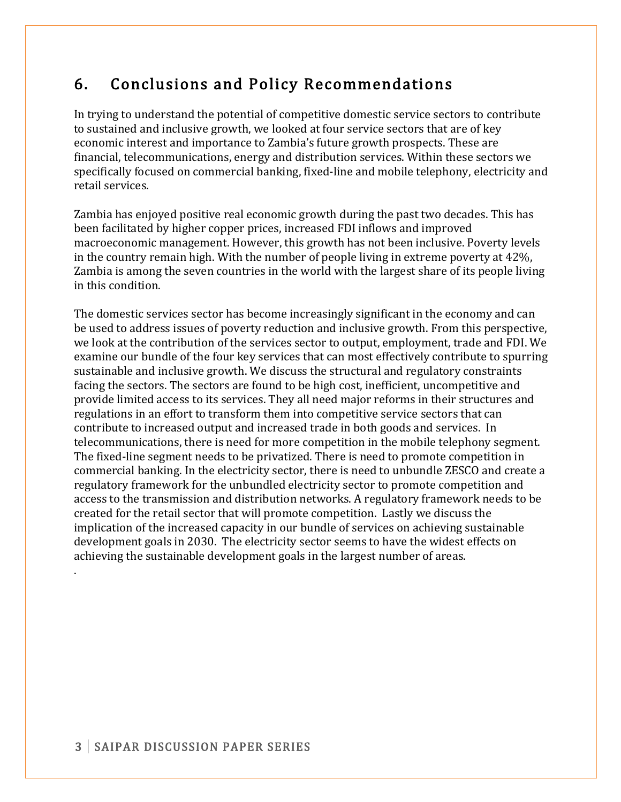# 6. Conclusions and Policy Recommendations

In trying to understand the potential of competitive domestic service sectors to contribute to sustained and inclusive growth, we looked at four service sectors that are of key economic interest and importance to Zambia's future growth prospects. These are financial, telecommunications, energy and distribution services. Within these sectors we specifically focused on commercial banking, fixed-line and mobile telephony, electricity and retail services.

Zambia has enjoyed positive real economic growth during the past two decades. This has been facilitated by higher copper prices, increased FDI inflows and improved macroeconomic management. However, this growth has not been inclusive. Poverty levels in the country remain high. With the number of people living in extreme poverty at 42%, Zambia is among the seven countries in the world with the largest share of its people living in this condition.

The domestic services sector has become increasingly significant in the economy and can be used to address issues of poverty reduction and inclusive growth. From this perspective, we look at the contribution of the services sector to output, employment, trade and FDI. We examine our bundle of the four key services that can most effectively contribute to spurring sustainable and inclusive growth. We discuss the structural and regulatory constraints facing the sectors. The sectors are found to be high cost, inefficient, uncompetitive and provide limited access to its services. They all need major reforms in their structures and regulations in an effort to transform them into competitive service sectors that can contribute to increased output and increased trade in both goods and services. In telecommunications, there is need for more competition in the mobile telephony segment. The fixed-line segment needs to be privatized. There is need to promote competition in commercial banking. In the electricity sector, there is need to unbundle ZESCO and create a regulatory framework for the unbundled electricity sector to promote competition and access to the transmission and distribution networks. A regulatory framework needs to be created for the retail sector that will promote competition. Lastly we discuss the implication of the increased capacity in our bundle of services on achieving sustainable development goals in 2030. The electricity sector seems to have the widest effects on achieving the sustainable development goals in the largest number of areas.

.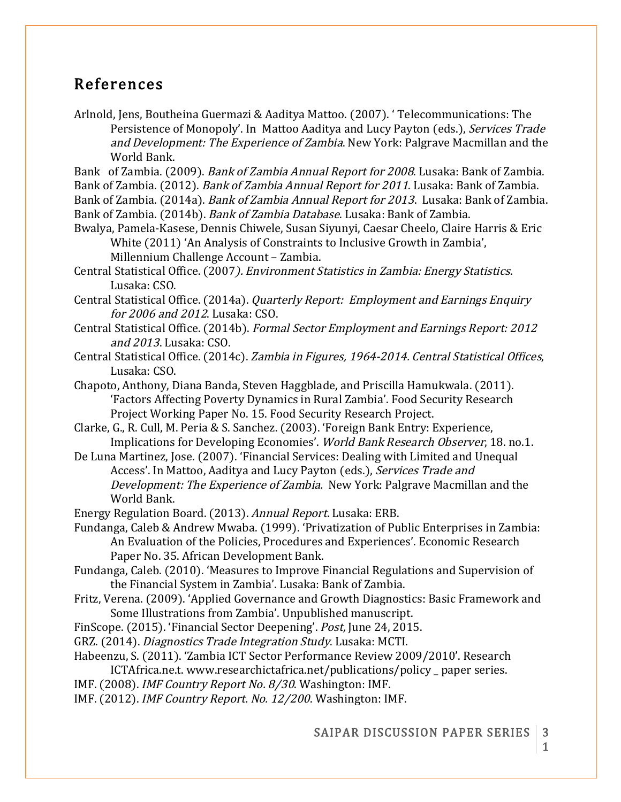### References

Arlnold, Jens, Boutheina Guermazi & Aaditya Mattoo. (2007). ' Telecommunications: The Persistence of Monopoly'. In Mattoo Aaditya and Lucy Payton (eds.), Services Trade and Development: The Experience of Zambia. New York: Palgrave Macmillan and the World Bank.

Bank of Zambia. (2009). Bank of Zambia Annual Report for 2008. Lusaka: Bank of Zambia. Bank of Zambia. (2012). Bank of Zambia Annual Report for 2011. Lusaka: Bank of Zambia. Bank of Zambia. (2014a). Bank of Zambia Annual Report for 2013. Lusaka: Bank of Zambia.

Bank of Zambia. (2014b). *Bank of Zambia Database*. Lusaka: Bank of Zambia.

Bwalya, Pamela-Kasese, Dennis Chiwele, Susan Siyunyi, Caesar Cheelo, Claire Harris & Eric White (2011) 'An Analysis of Constraints to Inclusive Growth in Zambia', Millennium Challenge Account – Zambia.

Central Statistical Office. (2007). Environment Statistics in Zambia: Energy Statistics. Lusaka: CSO.

- Central Statistical Office. (2014a). Quarterly Report: Employment and Earnings Enquiry for 2006 and 2012. Lusaka: CSO.
- Central Statistical Office. (2014b). Formal Sector Employment and Earnings Report: 2012 and 2013. Lusaka: CSO.
- Central Statistical Office. (2014c). Zambia in Figures, 1964-2014. Central Statistical Offices, Lusaka: CSO.
- Chapoto, Anthony, Diana Banda, Steven Haggblade, and Priscilla Hamukwala. (2011). 'Factors Affecting Poverty Dynamics in Rural Zambia'. Food Security Research Project Working Paper No. 15. Food Security Research Project.

Clarke, G., R. Cull, M. Peria & S. Sanchez. (2003). 'Foreign Bank Entry: Experience, Implications for Developing Economies'. World Bank Research Observer, 18. no.1.

De Luna Martinez, Jose. (2007). 'Financial Services: Dealing with Limited and Unequal Access'. In Mattoo, Aaditya and Lucy Payton (eds.), Services Trade and Development: The Experience of Zambia. New York: Palgrave Macmillan and the World Bank.

Energy Regulation Board. (2013). Annual Report. Lusaka: ERB.

Fundanga, Caleb & Andrew Mwaba. (1999). 'Privatization of Public Enterprises in Zambia: An Evaluation of the Policies, Procedures and Experiences'. Economic Research Paper No. 35. African Development Bank.

Fundanga, Caleb. (2010). 'Measures to Improve Financial Regulations and Supervision of the Financial System in Zambia'. Lusaka: Bank of Zambia.

- Fritz, Verena. (2009). 'Applied Governance and Growth Diagnostics: Basic Framework and Some Illustrations from Zambia'. Unpublished manuscript.
- FinScope. (2015). 'Financial Sector Deepening'. Post, June 24, 2015.
- GRZ. (2014). Diagnostics Trade Integration Study. Lusaka: MCTI.
- Habeenzu, S. (2011). 'Zambia ICT Sector Performance Review 2009/2010'. Research ICTAfrica.ne.t. www.researchictafrica.net/publications/policy \_ paper series.
- IMF. (2008). IMF Country Report No. 8/30. Washington: IMF.
- IMF. (2012). IMF Country Report. No. 12/200. Washington: IMF.

1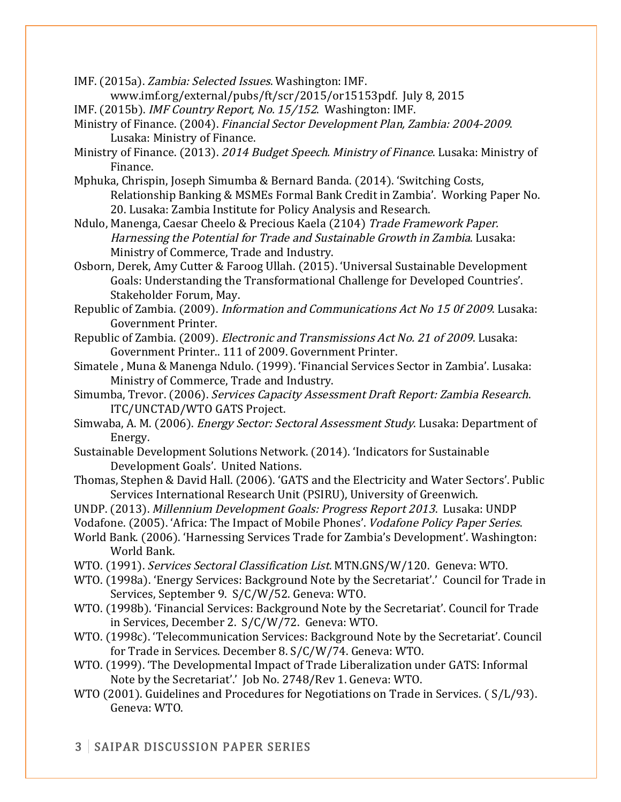IMF. (2015a). Zambia: Selected Issues. Washington: IMF.

- www.imf.org/external/pubs/ft/scr/2015/or15153pdf. July 8, 2015
- IMF. (2015b). IMF Country Report, No. 15/152. Washington: IMF.
- Ministry of Finance. (2004). Financial Sector Development Plan, Zambia: 2004-2009. Lusaka: Ministry of Finance.

Ministry of Finance. (2013). 2014 Budget Speech. Ministry of Finance. Lusaka: Ministry of Finance.

Mphuka, Chrispin, Joseph Simumba & Bernard Banda. (2014). 'Switching Costs, Relationship Banking & MSMEs Formal Bank Credit in Zambia'. Working Paper No. 20. Lusaka: Zambia Institute for Policy Analysis and Research.

Ndulo, Manenga, Caesar Cheelo & Precious Kaela (2104) Trade Framework Paper. Harnessing the Potential for Trade and Sustainable Growth in Zambia. Lusaka: Ministry of Commerce, Trade and Industry.

Osborn, Derek, Amy Cutter & Faroog Ullah. (2015). 'Universal Sustainable Development Goals: Understanding the Transformational Challenge for Developed Countries'. Stakeholder Forum, May.

Republic of Zambia. (2009). Information and Communications Act No 15 0f 2009. Lusaka: Government Printer.

- Republic of Zambia. (2009). Electronic and Transmissions Act No. 21 of 2009. Lusaka: Government Printer.. 111 of 2009. Government Printer.
- Simatele , Muna & Manenga Ndulo. (1999). 'Financial Services Sector in Zambia'. Lusaka: Ministry of Commerce, Trade and Industry.
- Simumba, Trevor. (2006). Services Capacity Assessment Draft Report: Zambia Research. ITC/UNCTAD/WTO GATS Project.
- Simwaba, A. M. (2006). *Energy Sector: Sectoral Assessment Study*. Lusaka: Department of Energy.

Sustainable Development Solutions Network. (2014). 'Indicators for Sustainable Development Goals'. United Nations.

Thomas, Stephen & David Hall. (2006). 'GATS and the Electricity and Water Sectors'. Public Services International Research Unit (PSIRU), University of Greenwich.

UNDP. (2013). Millennium Development Goals: Progress Report 2013. Lusaka: UNDP

Vodafone. (2005). 'Africa: The Impact of Mobile Phones'. Vodafone Policy Paper Series.

World Bank. (2006). 'Harnessing Services Trade for Zambia's Development'. Washington: World Bank.

WTO. (1991). Services Sectoral Classification List. MTN.GNS/W/120. Geneva: WTO.

WTO. (1998a). 'Energy Services: Background Note by the Secretariat'.' Council for Trade in Services, September 9. S/C/W/52. Geneva: WTO.

- WTO. (1998b). 'Financial Services: Background Note by the Secretariat'. Council for Trade in Services, December 2. S/C/W/72. Geneva: WTO.
- WTO. (1998c). 'Telecommunication Services: Background Note by the Secretariat'. Council for Trade in Services. December 8. S/C/W/74. Geneva: WTO.
- WTO. (1999). 'The Developmental Impact of Trade Liberalization under GATS: Informal Note by the Secretariat'.' Job No. 2748/Rev 1. Geneva: WTO.
- WTO (2001). Guidelines and Procedures for Negotiations on Trade in Services. ( S/L/93). Geneva: WTO.